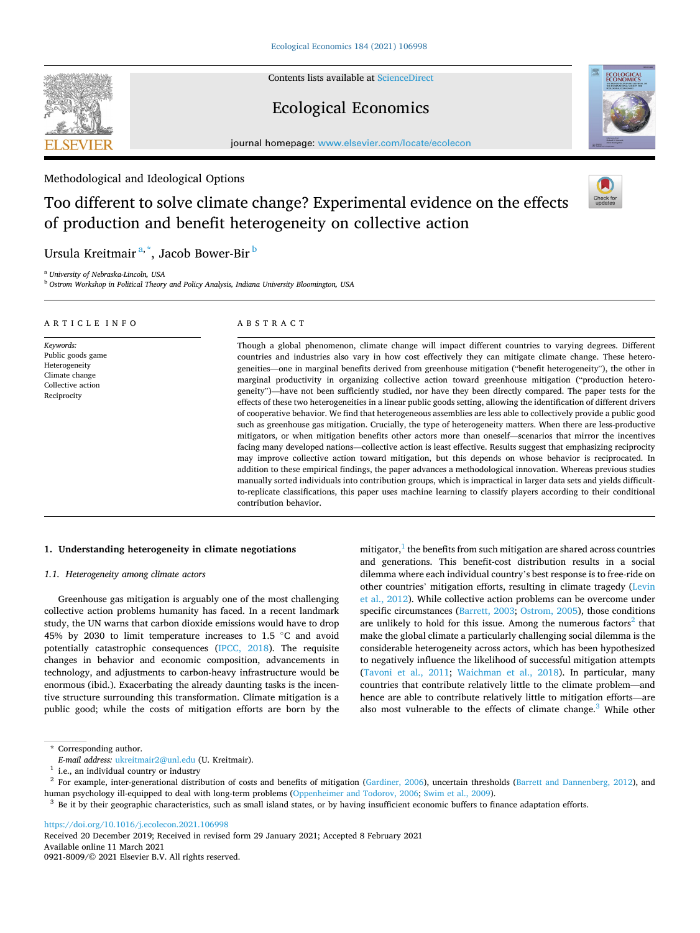Contents lists available at [ScienceDirect](www.sciencedirect.com/science/journal/09218009)

# Ecological Economics

journal homepage: [www.elsevier.com/locate/ecolecon](https://www.elsevier.com/locate/ecolecon)

# Methodological and Ideological Options

# Too different to solve climate change? Experimental evidence on the effects of production and benefit heterogeneity on collective action

Ursula Kreitmair<sup>a,\*</sup>, Jacob Bower-Bir<sup>b</sup>

<sup>a</sup> *University of Nebraska-Lincoln, USA* 

<sup>b</sup> *Ostrom Workshop in Political Theory and Policy Analysis, Indiana University Bloomington, USA* 

| ARTICLE INFO                                                                                          | ABSTRACT                                                                                                                                                                                                                                                                                                                                                                                                                                                                                                                                                                                                                                                                                                                                                                                                                                                                                                                                                                                                                                                                                                                                                                                                                                                                                                                                                                                                                                                                                                                                                                                                                                                                     |
|-------------------------------------------------------------------------------------------------------|------------------------------------------------------------------------------------------------------------------------------------------------------------------------------------------------------------------------------------------------------------------------------------------------------------------------------------------------------------------------------------------------------------------------------------------------------------------------------------------------------------------------------------------------------------------------------------------------------------------------------------------------------------------------------------------------------------------------------------------------------------------------------------------------------------------------------------------------------------------------------------------------------------------------------------------------------------------------------------------------------------------------------------------------------------------------------------------------------------------------------------------------------------------------------------------------------------------------------------------------------------------------------------------------------------------------------------------------------------------------------------------------------------------------------------------------------------------------------------------------------------------------------------------------------------------------------------------------------------------------------------------------------------------------------|
| Keywords:<br>Public goods game<br>Heterogeneity<br>Climate change<br>Collective action<br>Reciprocity | Though a global phenomenon, climate change will impact different countries to varying degrees. Different<br>countries and industries also vary in how cost effectively they can mitigate climate change. These hetero-<br>geneities—one in marginal benefits derived from greenhouse mitigation ("benefit heterogeneity"), the other in<br>marginal productivity in organizing collective action toward greenhouse mitigation ("production hetero-<br>geneity")—have not been sufficiently studied, nor have they been directly compared. The paper tests for the<br>effects of these two heterogeneities in a linear public goods setting, allowing the identification of different drivers<br>of cooperative behavior. We find that heterogeneous assemblies are less able to collectively provide a public good<br>such as greenhouse gas mitigation. Crucially, the type of heterogeneity matters. When there are less-productive<br>mitigators, or when mitigation benefits other actors more than oneself—scenarios that mirror the incentives<br>facing many developed nations—collective action is least effective. Results suggest that emphasizing reciprocity<br>may improve collective action toward mitigation, but this depends on whose behavior is reciprocated. In<br>addition to these empirical findings, the paper advances a methodological innovation. Whereas previous studies<br>manually sorted individuals into contribution groups, which is impractical in larger data sets and yields difficult-<br>to-replicate classifications, this paper uses machine learning to classify players according to their conditional<br>contribution behavior. |

## **1. Understanding heterogeneity in climate negotiations**

## *1.1. Heterogeneity among climate actors*

Greenhouse gas mitigation is arguably one of the most challenging collective action problems humanity has faced. In a recent landmark study, the UN warns that carbon dioxide emissions would have to drop 45% by 2030 to limit temperature increases to 1.5 ◦C and avoid potentially catastrophic consequences ([IPCC, 2018\)](#page-15-0). The requisite changes in behavior and economic composition, advancements in technology, and adjustments to carbon-heavy infrastructure would be enormous (ibid.). Exacerbating the already daunting tasks is the incentive structure surrounding this transformation. Climate mitigation is a public good; while the costs of mitigation efforts are born by the

mitigator, $\frac{1}{1}$  the benefits from such mitigation are shared across countries and generations. This benefit-cost distribution results in a social dilemma where each individual country's best response is to free-ride on other countries' mitigation efforts, resulting in climate tragedy [\(Levin](#page-15-0)  [et al., 2012](#page-15-0)). While collective action problems can be overcome under specific circumstances ([Barrett, 2003](#page-14-0); [Ostrom, 2005\)](#page-15-0), those conditions are unlikely to hold for this issue. Among the numerous factors<sup>2</sup> that make the global climate a particularly challenging social dilemma is the considerable heterogeneity across actors, which has been hypothesized to negatively influence the likelihood of successful mitigation attempts ([Tavoni et al., 2011;](#page-15-0) [Waichman et al., 2018\)](#page-15-0). In particular, many countries that contribute relatively little to the climate problem—and hence are able to contribute relatively little to mitigation efforts—are also most vulnerable to the effects of climate change.<sup>3</sup> While other

<sup>1</sup> i.e., an individual country or industry<br><sup>2</sup> For example, inter-generational distribution of costs and benefits of mitigation [\(Gardiner, 2006\)](#page-14-0), uncertain thresholds [\(Barrett and Dannenberg, 2012](#page-14-0)), and<br><sup>2</sup> For example,

<https://doi.org/10.1016/j.ecolecon.2021.106998>

Available online 11 March 2021 0921-8009/© 2021 Elsevier B.V. All rights reserved. Received 20 December 2019; Received in revised form 29 January 2021; Accepted 8 February 2021







 $^\ast$  Corresponding author. <br>  $E\text{-}main$  and  $address:$  ukreit<br>mair2@unl.edu (U. Kreitmair).

<sup>&</sup>lt;sup>3</sup> Be it by their geographic characteristics, such as small island states, or by having insufficient economic buffers to finance adaptation efforts.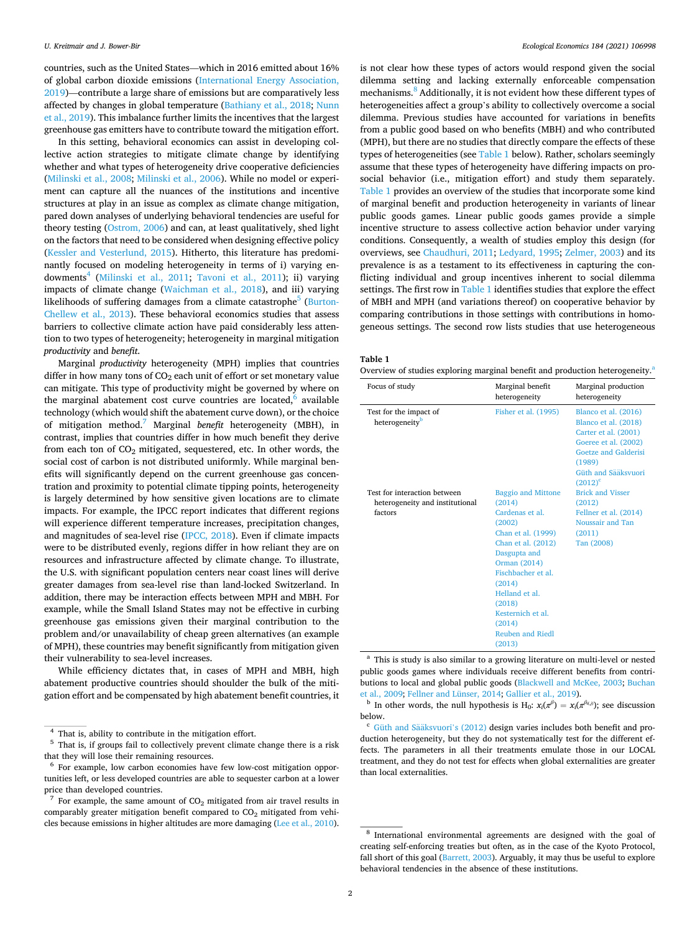<span id="page-1-0"></span>countries, such as the United States—which in 2016 emitted about 16% of global carbon dioxide emissions [\(International Energy Association,](#page-14-0)  [2019\)](#page-14-0)—contribute a large share of emissions but are comparatively less affected by changes in global temperature [\(Bathiany et al., 2018;](#page-14-0) [Nunn](#page-15-0)  [et al., 2019\)](#page-15-0). This imbalance further limits the incentives that the largest greenhouse gas emitters have to contribute toward the mitigation effort.

In this setting, behavioral economics can assist in developing collective action strategies to mitigate climate change by identifying whether and what types of heterogeneity drive cooperative deficiencies ([Milinski et al., 2008;](#page-15-0) [Milinski et al., 2006\)](#page-15-0). While no model or experiment can capture all the nuances of the institutions and incentive structures at play in an issue as complex as climate change mitigation, pared down analyses of underlying behavioral tendencies are useful for theory testing ([Ostrom, 2006](#page-15-0)) and can, at least qualitatively, shed light on the factors that need to be considered when designing effective policy ([Kessler and Vesterlund, 2015](#page-15-0)). Hitherto, this literature has predominantly focused on modeling heterogeneity in terms of i) varying en-dowments<sup>4</sup> [\(Milinski et al., 2011](#page-15-0); [Tavoni et al., 2011](#page-15-0)); ii) varying impacts of climate change ([Waichman et al., 2018](#page-15-0)), and iii) varying likelihoods of suffering damages from a climate catastrophe<sup>5</sup> [\(Burton-](#page-14-0)[Chellew et al., 2013\)](#page-14-0). These behavioral economics studies that assess barriers to collective climate action have paid considerably less attention to two types of heterogeneity; heterogeneity in marginal mitigation *productivity* and *benefit*.

Marginal *productivity* heterogeneity (MPH) implies that countries differ in how many tons of  $CO<sub>2</sub>$  each unit of effort or set monetary value can mitigate. This type of productivity might be governed by where on the marginal abatement cost curve countries are located, $6$  available technology (which would shift the abatement curve down), or the choice of mitigation method.7 Marginal *benefit* heterogeneity (MBH), in contrast, implies that countries differ in how much benefit they derive from each ton of  $CO<sub>2</sub>$  mitigated, sequestered, etc. In other words, the social cost of carbon is not distributed uniformly. While marginal benefits will significantly depend on the current greenhouse gas concentration and proximity to potential climate tipping points, heterogeneity is largely determined by how sensitive given locations are to climate impacts. For example, the IPCC report indicates that different regions will experience different temperature increases, precipitation changes, and magnitudes of sea-level rise [\(IPCC, 2018](#page-15-0)). Even if climate impacts were to be distributed evenly, regions differ in how reliant they are on resources and infrastructure affected by climate change. To illustrate, the U.S. with significant population centers near coast lines will derive greater damages from sea-level rise than land-locked Switzerland. In addition, there may be interaction effects between MPH and MBH. For example, while the Small Island States may not be effective in curbing greenhouse gas emissions given their marginal contribution to the problem and/or unavailability of cheap green alternatives (an example of MPH), these countries may benefit significantly from mitigation given their vulnerability to sea-level increases.

While efficiency dictates that, in cases of MPH and MBH, high abatement productive countries should shoulder the bulk of the mitigation effort and be compensated by high abatement benefit countries, it is not clear how these types of actors would respond given the social dilemma setting and lacking externally enforceable compensation mechanisms.<sup>8</sup> Additionally, it is not evident how these different types of heterogeneities affect a group's ability to collectively overcome a social dilemma. Previous studies have accounted for variations in benefits from a public good based on who benefits (MBH) and who contributed (MPH), but there are no studies that directly compare the effects of these types of heterogeneities (see Table 1 below). Rather, scholars seemingly assume that these types of heterogeneity have differing impacts on prosocial behavior (i.e., mitigation effort) and study them separately. Table 1 provides an overview of the studies that incorporate some kind of marginal benefit and production heterogeneity in variants of linear public goods games. Linear public goods games provide a simple incentive structure to assess collective action behavior under varying conditions. Consequently, a wealth of studies employ this design (for overviews, see [Chaudhuri, 2011](#page-14-0); [Ledyard, 1995](#page-15-0); [Zelmer, 2003](#page-15-0)) and its prevalence is as a testament to its effectiveness in capturing the conflicting individual and group incentives inherent to social dilemma settings. The first row in Table 1 identifies studies that explore the effect of MBH and MPH (and variations thereof) on cooperative behavior by comparing contributions in those settings with contributions in homogeneous settings. The second row lists studies that use heterogeneous

**Table 1** 

Overview of studies exploring marginal benefit and production heterogeneity.<sup>a</sup>

| Focus of study                                       | Marginal benefit<br>heterogeneity                                                                                                                                                                                                     | Marginal production<br>heterogeneity                                                                                                                                |
|------------------------------------------------------|---------------------------------------------------------------------------------------------------------------------------------------------------------------------------------------------------------------------------------------|---------------------------------------------------------------------------------------------------------------------------------------------------------------------|
| Test for the impact of<br>heterogeneity <sup>b</sup> | Fisher et al. (1995)                                                                                                                                                                                                                  | Blanco et al. (2016)<br>Blanco et al. (2018)<br>Carter et al. (2001)<br>Goeree et al. (2002)<br>Goetze and Galderisi<br>(1989)<br>Güth and Sääksvuori<br>$(2012)^c$ |
| Test for interaction between                         | <b>Baggio and Mittone</b>                                                                                                                                                                                                             | <b>Brick and Visser</b>                                                                                                                                             |
| heterogeneity and institutional                      | (2014)                                                                                                                                                                                                                                | (2012)                                                                                                                                                              |
| factors                                              | Cardenas et al.<br>(2002)<br>Chan et al. (1999)<br>Chan et al. (2012)<br>Dasgupta and<br>Orman (2014)<br>Fischbacher et al.<br>(2014)<br>Helland et al.<br>(2018)<br>Kesternich et al.<br>(2014)<br><b>Reuben and Riedl</b><br>(2013) | Fellner et al. (2014)<br>Noussair and Tan<br>(2011)<br>Tan (2008)                                                                                                   |

<sup>a</sup> This is study is also similar to a growing literature on multi-level or nested public goods games where individuals receive different benefits from contributions to local and global public goods ([Blackwell and McKee, 2003;](#page-14-0) [Buchan](#page-14-0) 

[et al., 2009;](#page-14-0) [Fellner and Lünser, 2014;](#page-14-0) [Gallier et al., 2019](#page-14-0)).<br><sup>b</sup> In other words, the null hypothesis is H<sub>0</sub>: *x<sub>i</sub>*( $\pi$ *β*<sup>*i*</sup>) = *x<sub>i</sub>*( $\pi$ <sup>*βii*,*y*); see discussion</sup> below.

 $^4$  That is, ability to contribute in the mitigation effort.  $^5$  That is, if groups fail to collectively prevent climate change there is a risk that they will lose their remaining resources.

 $6$  For example, low carbon economies have few low-cost mitigation opportunities left, or less developed countries are able to sequester carbon at a lower price than developed countries.<br><sup>7</sup> For example, the same amount of  $CO<sub>2</sub>$  mitigated from air travel results in

comparably greater mitigation benefit compared to  $CO<sub>2</sub>$  mitigated from vehi-<br>cles because emissions in higher altitudes are more damaging (Lee et al., 2010).

<sup>&</sup>lt;sup>c</sup> Güth and Sääksvuori's (2012) design varies includes both benefit and production heterogeneity, but they do not systematically test for the different effects. The parameters in all their treatments emulate those in our LOCAL treatment, and they do not test for effects when global externalities are greater than local externalities.

 $8$  International environmental agreements are designed with the goal of creating self-enforcing treaties but often, as in the case of the Kyoto Protocol, fall short of this goal [\(Barrett, 2003\)](#page-14-0). Arguably, it may thus be useful to explore behavioral tendencies in the absence of these institutions.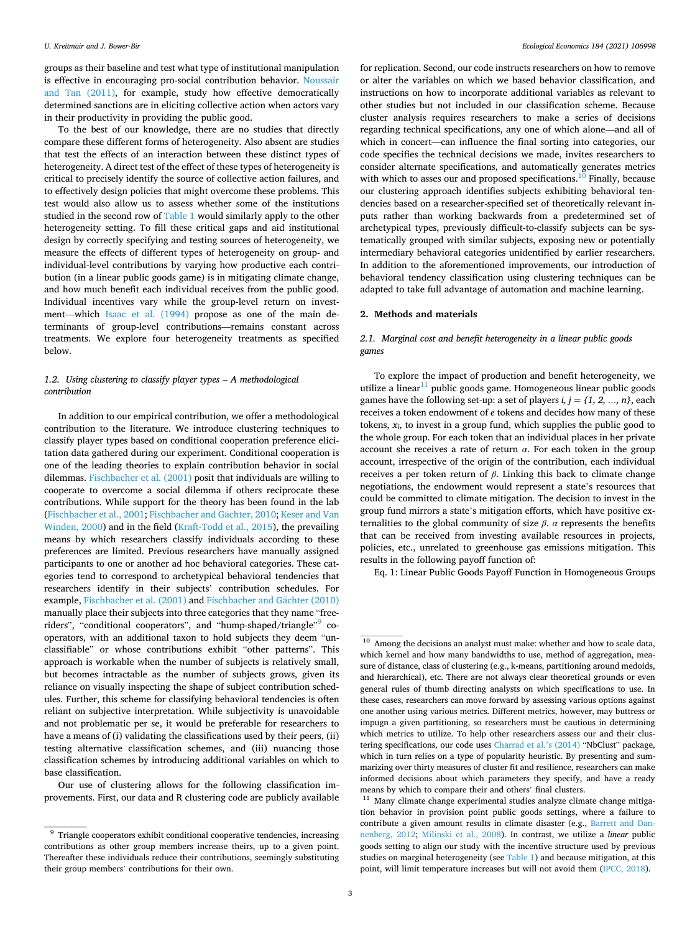groups as their baseline and test what type of institutional manipulation is effective in encouraging pro-social contribution behavior. [Noussair](#page-15-0)  [and Tan \(2011\),](#page-15-0) for example, study how effective democratically determined sanctions are in eliciting collective action when actors vary in their productivity in providing the public good.

To the best of our knowledge, there are no studies that directly compare these different forms of heterogeneity. Also absent are studies that test the effects of an interaction between these distinct types of heterogeneity. A direct test of the effect of these types of heterogeneity is critical to precisely identify the source of collective action failures, and to effectively design policies that might overcome these problems. This test would also allow us to assess whether some of the institutions studied in the second row of [Table 1](#page-1-0) would similarly apply to the other heterogeneity setting. To fill these critical gaps and aid institutional design by correctly specifying and testing sources of heterogeneity, we measure the effects of different types of heterogeneity on group- and individual-level contributions by varying how productive each contribution (in a linear public goods game) is in mitigating climate change, and how much benefit each individual receives from the public good. Individual incentives vary while the group-level return on investment—which [Isaac et al. \(1994\)](#page-15-0) propose as one of the main determinants of group-level contributions—remains constant across treatments. We explore four heterogeneity treatments as specified below.

# 1.2. *Using clustering to classify player types – A methodological contribution*

In addition to our empirical contribution, we offer a methodological contribution to the literature. We introduce clustering techniques to classify player types based on conditional cooperation preference elicitation data gathered during our experiment. Conditional cooperation is one of the leading theories to explain contribution behavior in social dilemmas. [Fischbacher et al. \(2001\)](#page-14-0) posit that individuals are willing to cooperate to overcome a social dilemma if others reciprocate these contributions. While support for the theory has been found in the lab ([Fischbacher et al., 2001](#page-14-0); Fischbacher and Gächter, 2010; Keser and Van [Winden, 2000](#page-15-0)) and in the field ([Kraft-Todd et al., 2015](#page-15-0)), the prevailing means by which researchers classify individuals according to these preferences are limited. Previous researchers have manually assigned participants to one or another ad hoc behavioral categories. These categories tend to correspond to archetypical behavioral tendencies that researchers identify in their subjects' contribution schedules. For example, [Fischbacher et al. \(2001\)](#page-14-0) and Fischbacher and Gächter (2010) manually place their subjects into three categories that they name "freeriders", "conditional cooperators", and "hump-shaped/triangle"9 cooperators, with an additional taxon to hold subjects they deem "unclassifiable" or whose contributions exhibit "other patterns". This approach is workable when the number of subjects is relatively small, but becomes intractable as the number of subjects grows, given its reliance on visually inspecting the shape of subject contribution schedules. Further, this scheme for classifying behavioral tendencies is often reliant on subjective interpretation. While subjectivity is unavoidable and not problematic per se, it would be preferable for researchers to have a means of (i) validating the classifications used by their peers, (ii) testing alternative classification schemes, and (iii) nuancing those classification schemes by introducing additional variables on which to base classification.

Our use of clustering allows for the following classification improvements. First, our data and R clustering code are publicly available for replication. Second, our code instructs researchers on how to remove or alter the variables on which we based behavior classification, and instructions on how to incorporate additional variables as relevant to other studies but not included in our classification scheme. Because cluster analysis requires researchers to make a series of decisions regarding technical specifications, any one of which alone—and all of which in concert—can influence the final sorting into categories, our code specifies the technical decisions we made, invites researchers to consider alternate specifications, and automatically generates metrics with which to asses our and proposed specifications.<sup>10</sup> Finally, because our clustering approach identifies subjects exhibiting behavioral tendencies based on a researcher-specified set of theoretically relevant inputs rather than working backwards from a predetermined set of archetypical types, previously difficult-to-classify subjects can be systematically grouped with similar subjects, exposing new or potentially intermediary behavioral categories unidentified by earlier researchers. In addition to the aforementioned improvements, our introduction of behavioral tendency classification using clustering techniques can be adapted to take full advantage of automation and machine learning.

### **2. Methods and materials**

## *2.1. Marginal cost and benefit heterogeneity in a linear public goods games*

To explore the impact of production and benefit heterogeneity, we utilize a linear $11$  public goods game. Homogeneous linear public goods games have the following set-up: a set of players  $i, j = \{1, 2, ..., n\}$ , each receives a token endowment of *e* tokens and decides how many of these tokens,  $x_i$ , to invest in a group fund, which supplies the public good to the whole group. For each token that an individual places in her private account she receives a rate of return  $\alpha$ . For each token in the group account, irrespective of the origin of the contribution, each individual receives a per token return of *β*. Linking this back to climate change negotiations, the endowment would represent a state's resources that could be committed to climate mitigation. The decision to invest in the group fund mirrors a state's mitigation efforts, which have positive externalities to the global community of size  $\beta$ . *α* represents the benefits that can be received from investing available resources in projects, policies, etc., unrelated to greenhouse gas emissions mitigation. This results in the following payoff function of:

Eq. 1: Linear Public Goods Payoff Function in Homogeneous Groups

 $9\,$  Triangle cooperators exhibit conditional cooperative tendencies, increasing contributions as other group members increase theirs, up to a given point. Thereafter these individuals reduce their contributions, seemingly substituting their group members' contributions for their own.

 $10$  Among the decisions an analyst must make: whether and how to scale data, which kernel and how many bandwidths to use, method of aggregation, measure of distance, class of clustering (e.g., k-means, partitioning around medoids, and hierarchical), etc. There are not always clear theoretical grounds or even general rules of thumb directing analysts on which specifications to use. In these cases, researchers can move forward by assessing various options against one another using various metrics. Different metrics, however, may buttress or impugn a given partitioning, so researchers must be cautious in determining which metrics to utilize. To help other researchers assess our and their clustering specifications, our code uses [Charrad et al.](#page-14-0)'s (2014) "NbClust" package, which in turn relies on a type of popularity heuristic. By presenting and summarizing over thirty measures of cluster fit and resilience, researchers can make informed decisions about which parameters they specify, and have a ready means by which to compare their and others' final clusters.  $^{11}$  Many climate change experimental studies analyze climate change mitiga-

tion behavior in provision point public goods settings, where a failure to contribute a given amount results in climate disaster (e.g., [Barrett and Dan](#page-14-0)[nenberg, 2012;](#page-14-0) [Milinski et al., 2008\)](#page-15-0). In contrast, we utilize a *linear* public goods setting to align our study with the incentive structure used by previous studies on marginal heterogeneity (see [Table 1](#page-1-0)) and because mitigation, at this point, will limit temperature increases but will not avoid them [\(IPCC, 2018](#page-15-0)).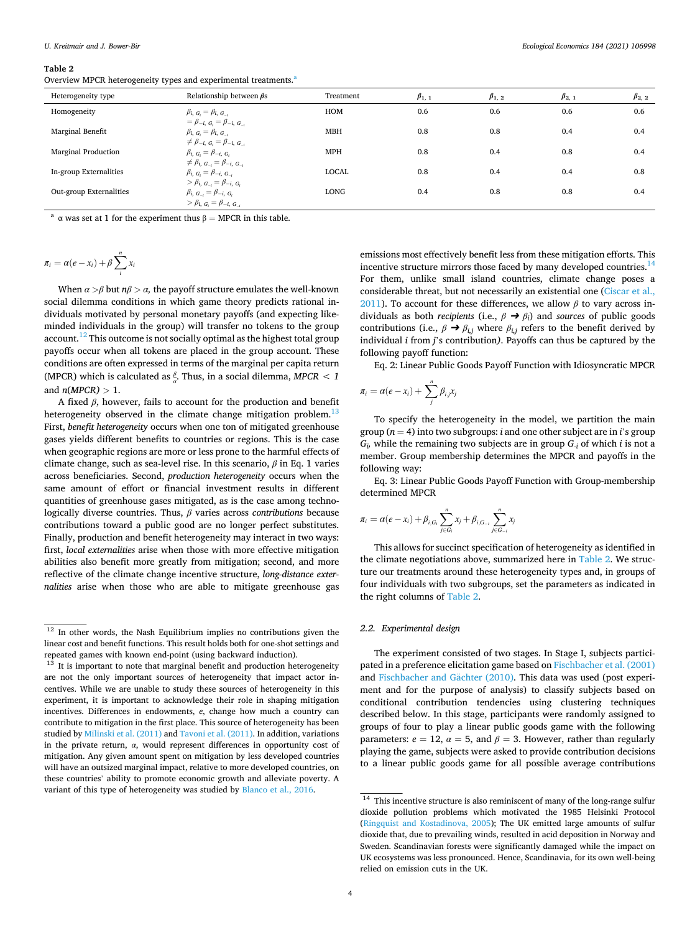#### <span id="page-3-0"></span>**Table 2**

Overview MPCR heterogeneity types and experimental treatments.<sup>a</sup>

| Heterogeneity type      | Relationship between $\beta s$                                                                                               | Treatment    | $\beta_{1,1}$ | $\beta_{1,2}$ | $\beta_{2,1}$ | $\beta_{2,2}$ |
|-------------------------|------------------------------------------------------------------------------------------------------------------------------|--------------|---------------|---------------|---------------|---------------|
| Homogeneity             | $\beta_{i, G_i} = \beta_{i, G_{-i}}$                                                                                         | <b>HOM</b>   | 0.6           | 0.6           | 0.6           | 0.6           |
| Marginal Benefit        | $= \beta_{-i, G_i} = \beta_{-i, G_{-i}}$<br>$\beta_{i, G_i} = \beta_{i, G_{-i}}$<br>$\neq \beta_{-i, G_i} = \beta_{-i, G_i}$ | <b>MBH</b>   | 0.8           | 0.8           | 0.4           | 0.4           |
| Marginal Production     | $\beta_{i, G_i} = \beta_{-i, G_i}$<br>$\neq \beta_{i, G_{-i}} = \beta_{-i, G_{-i}}$                                          | <b>MPH</b>   | 0.8           | 0.4           | 0.8           | 0.4           |
| In-group Externalities  | $\beta_{i, G_i} = \beta_{-i, G_{-i}}$<br>$> \beta_{i, G_{-i}} = \beta_{-i, G_{i}}$                                           | <b>LOCAL</b> | 0.8           | 0.4           | 0.4           | 0.8           |
| Out-group Externalities | $\beta_{i, G_{-i}} = \beta_{-i, G_i}$<br>$> \beta_{i, G_i} = \beta_{-i, G_{-i}}$                                             | LONG         | 0.4           | 0.8           | 0.8           | 0.4           |

<sup>a</sup> α was set at 1 for the experiment thus  $β = MPCR$  in this table.

$$
\pi_i = \alpha(e - x_i) + \beta \sum_{i}^{n} x_i
$$

When  $\alpha > \beta$  but  $n\beta > \alpha$ , the payoff structure emulates the well-known social dilemma conditions in which game theory predicts rational individuals motivated by personal monetary payoffs (and expecting likeminded individuals in the group) will transfer no tokens to the group account.<sup>12</sup> This outcome is not socially optimal as the highest total group payoffs occur when all tokens are placed in the group account. These conditions are often expressed in terms of the marginal per capita return (MPCR) which is calculated as  $\frac{\beta}{a}$ . Thus, in a social dilemma, *MPCR* < 1 and *n*(*MPCR) >* 1.

A fixed *β*, however, fails to account for the production and benefit heterogeneity observed in the climate change mitigation problem.<sup>13</sup> First, *benefit heterogeneity* occurs when one ton of mitigated greenhouse gases yields different benefits to countries or regions. This is the case when geographic regions are more or less prone to the harmful effects of climate change, such as sea-level rise. In this scenario, *β* in Eq. 1 varies across beneficiaries. Second, *production heterogeneity* occurs when the same amount of effort or financial investment results in different quantities of greenhouse gases mitigated, as is the case among technologically diverse countries. Thus, *β* varies across *contributions* because contributions toward a public good are no longer perfect substitutes. Finally, production and benefit heterogeneity may interact in two ways: first, *local externalities* arise when those with more effective mitigation abilities also benefit more greatly from mitigation; second, and more reflective of the climate change incentive structure, *long-distance externalities* arise when those who are able to mitigate greenhouse gas

emissions most effectively benefit less from these mitigation efforts. This incentive structure mirrors those faced by many developed countries. $^{14}$ For them, unlike small island countries, climate change poses a considerable threat, but not necessarily an existential one [\(Ciscar et al.,](#page-14-0)  [2011\)](#page-14-0). To account for these differences, we allow  $\beta$  to vary across individuals as both *recipients* (i.e.,  $\beta \rightarrow \beta_i$ ) and *sources* of public goods contributions (i.e.,  $\beta \rightarrow \beta_{i,j}$  where  $\beta_{i,j}$  refers to the benefit derived by individual *i* from *j*'s contribution*)*. Payoffs can thus be captured by the following payoff function:

Eq. 2: Linear Public Goods Payoff Function with Idiosyncratic MPCR

$$
\pi_i = \alpha(e - x_i) + \sum_{j}^{n} \beta_{i,j} x_j
$$

To specify the heterogeneity in the model, we partition the main group ( $n = 4$ ) into two subgroups: *i* and one other subject are in *i*'s group *Gi,* while the remaining two subjects are in group *G-i* of which *i* is not a member. Group membership determines the MPCR and payoffs in the following way:

Eq. 3: Linear Public Goods Payoff Function with Group-membership determined MPCR

$$
\pi_i = \alpha(e - x_i) + \beta_{i,G_i} \sum_{j \in G_i}^n x_j + \beta_{i,G_{-i}} \sum_{j \in G_{-i}}^n x_j
$$

This allows for succinct specification of heterogeneity as identified in the climate negotiations above, summarized here in Table 2. We structure our treatments around these heterogeneity types and, in groups of four individuals with two subgroups, set the parameters as indicated in the right columns of Table 2.

## *2.2. Experimental design*

The experiment consisted of two stages. In Stage I, subjects participated in a preference elicitation game based on [Fischbacher et al. \(2001\)](#page-14-0)  and [Fischbacher and G](#page-14-0)ächter (2010). This data was used (post experiment and for the purpose of analysis) to classify subjects based on conditional contribution tendencies using clustering techniques described below. In this stage, participants were randomly assigned to groups of four to play a linear public goods game with the following parameters:  $e = 12$ ,  $\alpha = 5$ , and  $\beta = 3$ . However, rather than regularly playing the game, subjects were asked to provide contribution decisions to a linear public goods game for all possible average contributions

<sup>&</sup>lt;sup>12</sup> In other words, the Nash Equilibrium implies no contributions given the linear cost and benefit functions. This result holds both for one-shot settings and repeated games with known end-point (using backward induction).<br><sup>13</sup> It is important to note that marginal benefit and production heterogeneity

are not the only important sources of heterogeneity that impact actor incentives. While we are unable to study these sources of heterogeneity in this experiment, it is important to acknowledge their role in shaping mitigation incentives. Differences in endowments, *e*, change how much a country can contribute to mitigation in the first place. This source of heterogeneity has been studied by [Milinski et al. \(2011\)](#page-15-0) and [Tavoni et al. \(2011\)](#page-15-0). In addition, variations in the private return, *α*, would represent differences in opportunity cost of mitigation. Any given amount spent on mitigation by less developed countries will have an outsized marginal impact, relative to more developed countries, on these countries' ability to promote economic growth and alleviate poverty. A

variant of this type of heterogeneity was studied by [Blanco et al., 2016.](#page-14-0)<br> $\frac{14 \text{ This incentive structure is also reminiscent of many of the long-range sulfur}}{14 \text{ This incentive structure is also consistent.}}$ dioxide pollution problems which motivated the 1985 Helsinki Protocol [\(Ringquist and Kostadinova, 2005\)](#page-15-0); The UK emitted large amounts of sulfur dioxide that, due to prevailing winds, resulted in acid deposition in Norway and Sweden. Scandinavian forests were significantly damaged while the impact on UK ecosystems was less pronounced. Hence, Scandinavia, for its own well-being relied on emission cuts in the UK.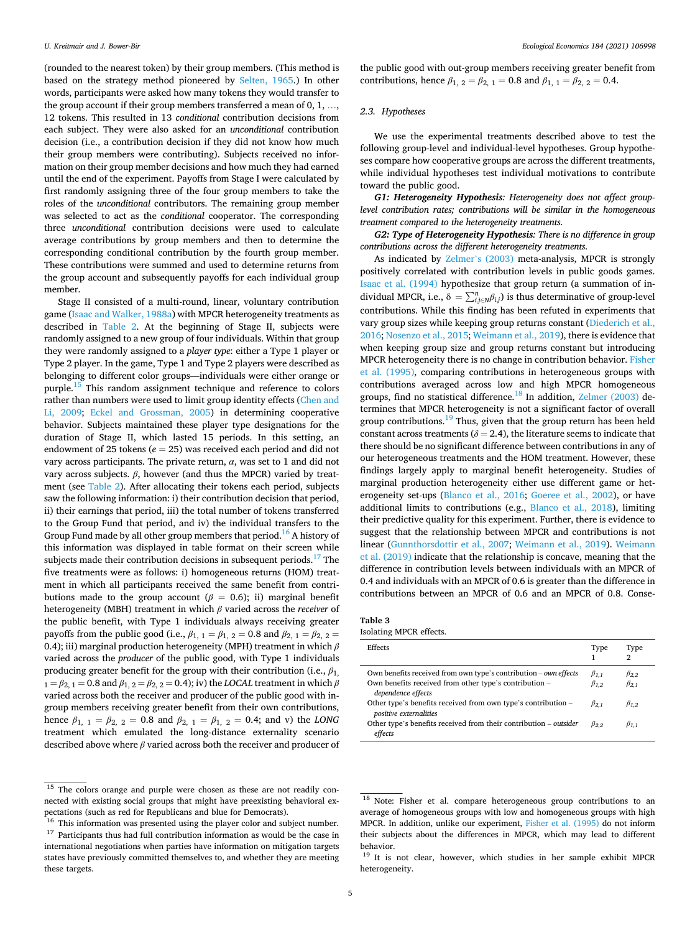<span id="page-4-0"></span>(rounded to the nearest token) by their group members. (This method is based on the strategy method pioneered by [Selten, 1965.](#page-15-0)) In other words, participants were asked how many tokens they would transfer to the group account if their group members transferred a mean of 0, 1, …, 12 tokens. This resulted in 13 *conditional* contribution decisions from each subject. They were also asked for an *unconditional* contribution decision (i.e., a contribution decision if they did not know how much their group members were contributing). Subjects received no information on their group member decisions and how much they had earned until the end of the experiment. Payoffs from Stage I were calculated by first randomly assigning three of the four group members to take the roles of the *unconditional* contributors. The remaining group member was selected to act as the *conditional* cooperator. The corresponding three *unconditional* contribution decisions were used to calculate average contributions by group members and then to determine the corresponding conditional contribution by the fourth group member. These contributions were summed and used to determine returns from the group account and subsequently payoffs for each individual group member.

Stage II consisted of a multi-round, linear, voluntary contribution game [\(Isaac and Walker, 1988a](#page-15-0)) with MPCR heterogeneity treatments as described in [Table 2](#page-3-0). At the beginning of Stage II, subjects were randomly assigned to a new group of four individuals. Within that group they were randomly assigned to a *player type*: either a Type 1 player or Type 2 player. In the game, Type 1 and Type 2 players were described as belonging to different color groups—individuals were either orange or purple.<sup>15</sup> This random assignment technique and reference to colors rather than numbers were used to limit group identity effects ([Chen and](#page-14-0)  [Li, 2009;](#page-14-0) [Eckel and Grossman, 2005](#page-14-0)) in determining cooperative behavior. Subjects maintained these player type designations for the duration of Stage II, which lasted 15 periods. In this setting, an endowment of 25 tokens (*e* = 25) was received each period and did not vary across participants. The private return, *α*, was set to 1 and did not vary across subjects. *β*, however (and thus the MPCR) varied by treatment (see [Table 2](#page-3-0)). After allocating their tokens each period, subjects saw the following information: i) their contribution decision that period, ii) their earnings that period, iii) the total number of tokens transferred to the Group Fund that period, and iv) the individual transfers to the Group Fund made by all other group members that period.<sup>16</sup> A history of this information was displayed in table format on their screen while subjects made their contribution decisions in subsequent periods.<sup>17</sup> The five treatments were as follows: i) homogeneous returns (HOM) treatment in which all participants received the same benefit from contributions made to the group account ( $\beta = 0.6$ ); ii) marginal benefit heterogeneity (MBH) treatment in which *β* varied across the *receiver* of the public benefit, with Type 1 individuals always receiving greater payoffs from the public good (i.e.,  $\beta_{1, 1} = \beta_{1, 2} = 0.8$  and  $\beta_{2, 1} = \beta_{2, 2} =$ 0.4); iii) marginal production heterogeneity (MPH) treatment in which *β*  varied across the *producer* of the public good, with Type 1 individuals producing greater benefit for the group with their contribution (i.e.,  $\beta_1$ ,  $1 = \beta_{2,1} = 0.8$  and  $\beta_{1,2} = \beta_{2,2} = 0.4$ ); iv) the *LOCAL* treatment in which  $\beta$ varied across both the receiver and producer of the public good with ingroup members receiving greater benefit from their own contributions, hence  $\beta_{1, 1} = \beta_{2, 2} = 0.8$  and  $\beta_{2, 1} = \beta_{1, 2} = 0.4$ ; and v) the *LONG* treatment which emulated the long-distance externality scenario described above where *β* varied across both the receiver and producer of

the public good with out-group members receiving greater benefit from contributions, hence  $\beta_{1, 2} = \beta_{2, 1} = 0.8$  and  $\beta_{1, 1} = \beta_{2, 2} = 0.4$ .

## *2.3. Hypotheses*

We use the experimental treatments described above to test the following group-level and individual-level hypotheses. Group hypotheses compare how cooperative groups are across the different treatments, while individual hypotheses test individual motivations to contribute toward the public good.

*G1: Heterogeneity Hypothesis: Heterogeneity does not affect grouplevel contribution rates; contributions will be similar in the homogeneous treatment compared to the heterogeneity treatments.* 

*G2: Type of Heterogeneity Hypothesis: There is no difference in group contributions across the different heterogeneity treatments.* 

As indicated by Zelmer'[s \(2003\)](#page-15-0) meta-analysis, MPCR is strongly positively correlated with contribution levels in public goods games. [Isaac et al. \(1994\)](#page-15-0) hypothesize that group return (a summation of individual MPCR, i.e.,  $\delta = \sum_{i,j \in N}^{n} \beta_{i,j}$  is thus determinative of group-level contributions. While this finding has been refuted in experiments that vary group sizes while keeping group returns constant ([Diederich et al.,](#page-14-0)  [2016;](#page-14-0) [Nosenzo et al., 2015; Weimann et al., 2019\)](#page-15-0), there is evidence that when keeping group size and group returns constant but introducing MPCR heterogeneity there is no change in contribution behavior. [Fisher](#page-14-0)  [et al. \(1995\),](#page-14-0) comparing contributions in heterogeneous groups with contributions averaged across low and high MPCR homogeneous groups, find no statistical difference.<sup>18</sup> In addition, [Zelmer \(2003\)](#page-15-0) determines that MPCR heterogeneity is not a significant factor of overall group contributions. $19$  Thus, given that the group return has been held constant across treatments ( $\delta$  = 2.4), the literature seems to indicate that there should be no significant difference between contributions in any of our heterogeneous treatments and the HOM treatment. However, these findings largely apply to marginal benefit heterogeneity. Studies of marginal production heterogeneity either use different game or heterogeneity set-ups ([Blanco et al., 2016;](#page-14-0) [Goeree et al., 2002\)](#page-14-0), or have additional limits to contributions (e.g., [Blanco et al., 2018](#page-14-0)), limiting their predictive quality for this experiment. Further, there is evidence to suggest that the relationship between MPCR and contributions is not linear ([Gunnthorsdottir et al., 2007](#page-14-0); [Weimann et al., 2019\)](#page-15-0). [Weimann](#page-15-0)  [et al. \(2019\)](#page-15-0) indicate that the relationship is concave, meaning that the difference in contribution levels between individuals with an MPCR of 0.4 and individuals with an MPCR of 0.6 is greater than the difference in contributions between an MPCR of 0.6 and an MPCR of 0.8. Conse-

| Table 3 |  |  |
|---------|--|--|
|         |  |  |

Isolating MPCR effects.

| Effects                                                                                                                    | Type                           | Type<br>G                      |
|----------------------------------------------------------------------------------------------------------------------------|--------------------------------|--------------------------------|
| Own benefits received from own type's contribution – own effects<br>Own benefits received from other type's contribution - | $\beta_{1.1}$<br>$\beta_{1,2}$ | $\beta_{2,2}$<br>$\beta_{2,1}$ |
| dependence effects                                                                                                         |                                |                                |
| Other type's benefits received from own type's contribution –<br>positive externalities                                    | $\beta_{2.1}$                  | $\beta_{1,2}$                  |
| Other type's benefits received from their contribution – outsider<br>effects                                               | $\beta_{2,2}$                  | $\beta_{1}$                    |

<sup>&</sup>lt;sup>15</sup> The colors orange and purple were chosen as these are not readily connected with existing social groups that might have preexisting behavioral expectations (such as red for Republicans and blue for Democrats).

 $^{16}\,$  This information was presented using the player color and subject number.  $^{17}\,$  Participants thus had full contribution information as would be the case in international negotiations when parties have information on mitigation targets states have previously committed themselves to, and whether they are meeting these targets.

<sup>18</sup> Note: Fisher et al. compare heterogeneous group contributions to an average of homogeneous groups with low and homogeneous groups with high MPCR. In addition, unlike our experiment, [Fisher et al. \(1995\)](#page-14-0) do not inform their subjects about the differences in MPCR, which may lead to different behavior.

<sup>&</sup>lt;sup>19</sup> It is not clear, however, which studies in her sample exhibit MPCR heterogeneity.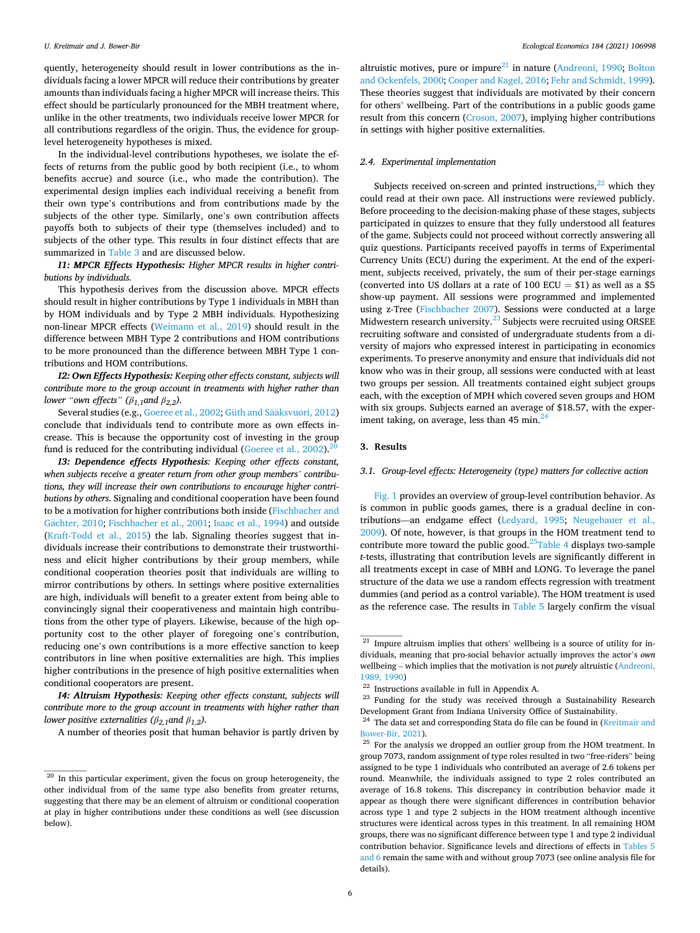quently, heterogeneity should result in lower contributions as the individuals facing a lower MPCR will reduce their contributions by greater amounts than individuals facing a higher MPCR will increase theirs. This effect should be particularly pronounced for the MBH treatment where, unlike in the other treatments, two individuals receive lower MPCR for all contributions regardless of the origin. Thus, the evidence for grouplevel heterogeneity hypotheses is mixed.

In the individual-level contributions hypotheses, we isolate the effects of returns from the public good by both recipient (i.e., to whom benefits accrue) and source (i.e., who made the contribution). The experimental design implies each individual receiving a benefit from their own type's contributions and from contributions made by the subjects of the other type. Similarly, one's own contribution affects payoffs both to subjects of their type (themselves included) and to subjects of the other type. This results in four distinct effects that are summarized in [Table 3](#page-4-0) and are discussed below.

*I1: MPCR Effects Hypothesis: Higher MPCR results in higher contributions by individuals.* 

This hypothesis derives from the discussion above. MPCR effects should result in higher contributions by Type 1 individuals in MBH than by HOM individuals and by Type 2 MBH individuals. Hypothesizing non-linear MPCR effects [\(Weimann et al., 2019\)](#page-15-0) should result in the difference between MBH Type 2 contributions and HOM contributions to be more pronounced than the difference between MBH Type 1 contributions and HOM contributions.

*I2: Own Effects Hypothesis: Keeping other effects constant, subjects will contribute more to the group account in treatments with higher rather than lower* "*own effects*" ( $\beta_{1,1}$ *and*  $\beta_{2,2}$ ).

Several studies (e.g., [Goeree et al., 2002;](#page-14-0) Güth and Sääksvuori, 2012) conclude that individuals tend to contribute more as own effects increase. This is because the opportunity cost of investing in the group fund is reduced for the contributing individual ([Goeree et al., 2002](#page-14-0)).<sup>2</sup>

*I3: Dependence effects Hypothesis: Keeping other effects constant, when subjects receive a greater return from other group members' contributions, they will increase their own contributions to encourage higher contributions by others.* Signaling and conditional cooperation have been found to be a motivation for higher contributions both inside ([Fischbacher and](#page-14-0)  Gächter, 2010; [Fischbacher et al., 2001](#page-14-0); [Isaac et al., 1994](#page-15-0)) and outside ([Kraft-Todd et al., 2015](#page-15-0)) the lab. Signaling theories suggest that individuals increase their contributions to demonstrate their trustworthiness and elicit higher contributions by their group members, while conditional cooperation theories posit that individuals are willing to mirror contributions by others. In settings where positive externalities are high, individuals will benefit to a greater extent from being able to convincingly signal their cooperativeness and maintain high contributions from the other type of players. Likewise, because of the high opportunity cost to the other player of foregoing one's contribution, reducing one's own contributions is a more effective sanction to keep contributors in line when positive externalities are high. This implies higher contributions in the presence of high positive externalities when conditional cooperators are present.

*I4: Altruism Hypothesis: Keeping other effects constant, subjects will contribute more to the group account in treatments with higher rather than lower positive externalities (* $\beta_{2,1}$ *and*  $\beta_{1,2}$ *).* 

A number of theories posit that human behavior is partly driven by

altruistic motives, pure or impure $^{21}$  in nature [\(Andreoni, 1990;](#page-14-0) Bolton [and Ockenfels, 2000; Cooper and Kagel, 2016](#page-14-0); [Fehr and Schmidt, 1999](#page-14-0)). These theories suggest that individuals are motivated by their concern for others' wellbeing. Part of the contributions in a public goods game result from this concern ([Croson, 2007\)](#page-14-0), implying higher contributions in settings with higher positive externalities.

## *2.4. Experimental implementation*

Subjects received on-screen and printed instructions, $^{22}$  which they could read at their own pace. All instructions were reviewed publicly. Before proceeding to the decision-making phase of these stages, subjects participated in quizzes to ensure that they fully understood all features of the game. Subjects could not proceed without correctly answering all quiz questions. Participants received payoffs in terms of Experimental Currency Units (ECU) during the experiment. At the end of the experiment, subjects received, privately, the sum of their per-stage earnings (converted into US dollars at a rate of 100 ECU =  $$1$ ) as well as a \$5 show-up payment. All sessions were programmed and implemented using z-Tree [\(Fischbacher 2007\)](#page-14-0). Sessions were conducted at a large Midwestern research university.<sup>23</sup> Subjects were recruited using ORSEE recruiting software and consisted of undergraduate students from a diversity of majors who expressed interest in participating in economics experiments. To preserve anonymity and ensure that individuals did not know who was in their group, all sessions were conducted with at least two groups per session. All treatments contained eight subject groups each, with the exception of MPH which covered seven groups and HOM with six groups. Subjects earned an average of \$18.57, with the experiment taking, on average, less than  $45$  min.<sup>2</sup>

## **3. Results**

#### *3.1. Group-level effects: Heterogeneity (type) matters for collective action*

[Fig. 1](#page-6-0) provides an overview of group-level contribution behavior. As is common in public goods games, there is a gradual decline in contributions—an endgame effect ([Ledyard, 1995;](#page-15-0) [Neugebauer et al.,](#page-15-0)  [2009\)](#page-15-0). Of note, however, is that groups in the HOM treatment tend to contribute more toward the public good. $^{25}$ Table 4 displays two-sample *t*-tests, illustrating that contribution levels are significantly different in all treatments except in case of MBH and LONG. To leverage the panel structure of the data we use a random effects regression with treatment dummies (and period as a control variable). The HOM treatment is used as the reference case. The results in [Table 5](#page-7-0) largely confirm the visual

<sup>&</sup>lt;sup>20</sup> In this particular experiment, given the focus on group heterogeneity, the other individual from of the same type also benefits from greater returns, suggesting that there may be an element of altruism or conditional cooperation at play in higher contributions under these conditions as well (see discussion below).

<sup>&</sup>lt;sup>21</sup> Impure altruism implies that others' wellbeing is a source of utility for individuals, meaning that pro-social behavior actually improves the actor's *own*  wellbeing – which implies that the motivation is not *purely* altruistic [\(Andreoni,](#page-14-0)  [1989, 1990](#page-14-0))<br><sup>22</sup> Instructions available in full in Appendix A.<br><sup>23</sup> Funding for the study was received through a Sustainability Research

Development Grant from Indiana University Office of Sustainability.<br><sup>24</sup> The data set and corresponding Stata do file can be found in (Kreitmair and

 $^{\rm 25}$  For the analysis we dropped an outlier group from the HOM treatment. In  $^{\rm 25}$ group 7073, random assignment of type roles resulted in two "free-riders" being assigned to be type 1 individuals who contributed an average of 2.6 tokens per round. Meanwhile, the individuals assigned to type 2 roles contributed an average of 16.8 tokens. This discrepancy in contribution behavior made it appear as though there were significant differences in contribution behavior across type 1 and type 2 subjects in the HOM treatment although incentive structures were identical across types in this treatment. In all remaining HOM groups, there was no significant difference between type 1 and type 2 individual contribution behavior. Significance levels and directions of effects in [Tables 5](#page-7-0)  [and 6](#page-7-0) remain the same with and without group 7073 (see online analysis file for details).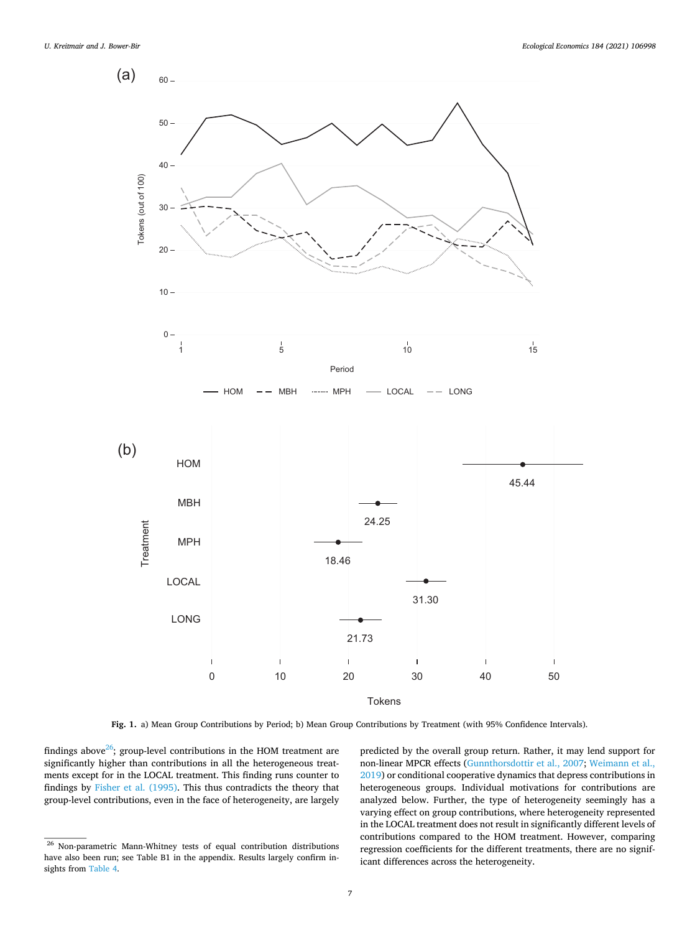<span id="page-6-0"></span>

**Fig. 1.** a) Mean Group Contributions by Period; b) Mean Group Contributions by Treatment (with 95% Confidence Intervals).

findings above $26$ ; group-level contributions in the HOM treatment are significantly higher than contributions in all the heterogeneous treatments except for in the LOCAL treatment. This finding runs counter to findings by [Fisher et al. \(1995\).](#page-14-0) This thus contradicts the theory that group-level contributions, even in the face of heterogeneity, are largely predicted by the overall group return. Rather, it may lend support for non-linear MPCR effects ([Gunnthorsdottir et al., 2007](#page-14-0); [Weimann et al.,](#page-15-0)  [2019\)](#page-15-0) or conditional cooperative dynamics that depress contributions in heterogeneous groups. Individual motivations for contributions are analyzed below. Further, the type of heterogeneity seemingly has a varying effect on group contributions, where heterogeneity represented in the LOCAL treatment does not result in significantly different levels of contributions compared to the HOM treatment. However, comparing regression coefficients for the different treatments, there are no significant differences across the heterogeneity.

<sup>&</sup>lt;sup>26</sup> Non-parametric Mann-Whitney tests of equal contribution distributions have also been run; see Table B1 in the appendix. Results largely confirm insights from [Table 4.](#page-7-0)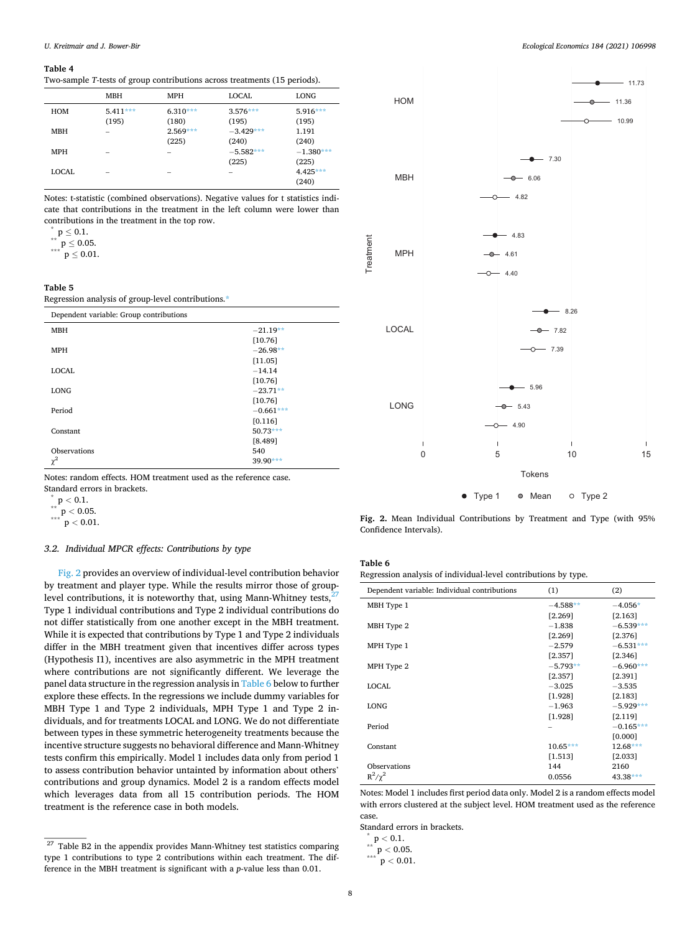#### <span id="page-7-0"></span>**Table 4**

Two-sample *T*-tests of group contributions across treatments (15 periods).

| LONG<br><b>MBH</b><br>LOCAL<br>MPH<br>$5.411***$<br>$6.310***$<br>$5.916***$<br>$3.576***$<br>HOM<br>(195)<br>(195)<br>(180)<br>(195)<br>$2.569***$<br>$-3.429***$<br><b>MBH</b><br>1.191<br>$\overline{\phantom{a}}$<br>(240)<br>(225)<br>(240)<br>$-1.380***$<br>$-5.582***$<br><b>MPH</b><br>$\overline{\phantom{a}}$<br>(225)<br>(225)<br>$4.425***$<br>LOCAL<br>-<br>$\overline{\phantom{a}}$<br>-<br>(240) |  |  |  |
|------------------------------------------------------------------------------------------------------------------------------------------------------------------------------------------------------------------------------------------------------------------------------------------------------------------------------------------------------------------------------------------------------------------|--|--|--|
|                                                                                                                                                                                                                                                                                                                                                                                                                  |  |  |  |
|                                                                                                                                                                                                                                                                                                                                                                                                                  |  |  |  |
|                                                                                                                                                                                                                                                                                                                                                                                                                  |  |  |  |
|                                                                                                                                                                                                                                                                                                                                                                                                                  |  |  |  |
|                                                                                                                                                                                                                                                                                                                                                                                                                  |  |  |  |
|                                                                                                                                                                                                                                                                                                                                                                                                                  |  |  |  |
|                                                                                                                                                                                                                                                                                                                                                                                                                  |  |  |  |
|                                                                                                                                                                                                                                                                                                                                                                                                                  |  |  |  |
|                                                                                                                                                                                                                                                                                                                                                                                                                  |  |  |  |

Notes: t-statistic (combined observations). Negative values for t statistics indicate that contributions in the treatment in the left column were lower than contributions in the treatment in the top row.<br>\* p ≤ 0.1.<br>\*\*\* p ≤ 0.05.<br>\*\*\* p ≤ 0.01.

**Table 5** 

Regression analysis of group-level contributions.<sup>\*</sup>

| Dependent variable: Group contributions |             |
|-----------------------------------------|-------------|
| <b>MBH</b>                              | $-21.19**$  |
|                                         | [10.76]     |
| <b>MPH</b>                              | $-26.98**$  |
|                                         | [11.05]     |
| <b>LOCAL</b>                            | $-14.14$    |
|                                         | [10.76]     |
| <b>LONG</b>                             | $-23.71**$  |
|                                         | [10.76]     |
| Period                                  | $-0.661***$ |
|                                         | [0.116]     |
| Constant                                | $50.73***$  |
|                                         | [8.489]     |
| Observations                            | 540         |
| $\chi^2$                                | $39.90***$  |

Notes: random effects. HOM treatment used as the reference case.

Standard errors in brackets. \* <sup>p</sup>*<sup>&</sup>lt;* 0.1. \*\* <sup>p</sup>*<sup>&</sup>lt;* 0.05. \*\*\* <sup>p</sup>*<sup>&</sup>lt;* 0.01.

## *3.2. Individual MPCR effects: Contributions by type*

Fig. 2 provides an overview of individual-level contribution behavior by treatment and player type. While the results mirror those of grouplevel contributions, it is noteworthy that, using Mann-Whitney tests, $\frac{2}{3}$ Type 1 individual contributions and Type 2 individual contributions do not differ statistically from one another except in the MBH treatment. While it is expected that contributions by Type 1 and Type 2 individuals differ in the MBH treatment given that incentives differ across types (Hypothesis I1), incentives are also asymmetric in the MPH treatment where contributions are not significantly different. We leverage the panel data structure in the regression analysis in Table 6 below to further explore these effects. In the regressions we include dummy variables for MBH Type 1 and Type 2 individuals, MPH Type 1 and Type 2 individuals, and for treatments LOCAL and LONG. We do not differentiate between types in these symmetric heterogeneity treatments because the incentive structure suggests no behavioral difference and Mann-Whitney tests confirm this empirically. Model 1 includes data only from period 1 to assess contribution behavior untainted by information about others' contributions and group dynamics. Model 2 is a random effects model which leverages data from all 15 contribution periods. The HOM treatment is the reference case in both models.



**Fig. 2.** Mean Individual Contributions by Treatment and Type (with 95% Confidence Intervals).

| Fable<br>h |  |
|------------|--|
|            |  |

Treatment

Treatmen

Regression analysis of individual-level contributions by type.

| Dependent variable: Individual contributions | (1)        | (2)         |
|----------------------------------------------|------------|-------------|
| MBH Type 1                                   | $-4.588**$ | $-4.056*$   |
|                                              | [2.269]    | [2.163]     |
| MBH Type 2                                   | $-1.838$   | $-6.539***$ |
|                                              | [2.269]    | [2.376]     |
| MPH Type 1                                   | $-2.579$   | $-6.531***$ |
|                                              | [2.357]    | [2.346]     |
| MPH Type 2                                   | $-5.793**$ | $-6.960***$ |
|                                              | [2.357]    | [2.391]     |
| <b>LOCAL</b>                                 | $-3.025$   | $-3.535$    |
|                                              | [1.928]    | [2.183]     |
| <b>LONG</b>                                  | $-1.963$   | $-5.929***$ |
|                                              | [1.928]    | [2.119]     |
| Period                                       |            | $-0.165***$ |
|                                              |            | [0.000]     |
| Constant                                     | $10.65***$ | $12.68***$  |
|                                              | [1.513]    | [2.033]     |
| Observations                                 | 144        | 2160        |
| $R^2/\gamma^2$                               | 0.0556     | $43.38***$  |

Notes: Model 1 includes first period data only. Model 2 is a random effects model with errors clustered at the subject level. HOM treatment used as the reference case.

Standard errors in brackets. \* <sup>p</sup>*<sup>&</sup>lt;* 0.1. \*\* <sup>p</sup>*<sup>&</sup>lt;* 0.05. \*\*\* <sup>p</sup>*<sup>&</sup>lt;* 0.01.

$$
\degree{\rm p} < 0.1.
$$

 $\overline{27}$  Table B2 in the appendix provides Mann-Whitney test statistics comparing type 1 contributions to type 2 contributions within each treatment. The difference in the MBH treatment is significant with a *p*-value less than 0.01.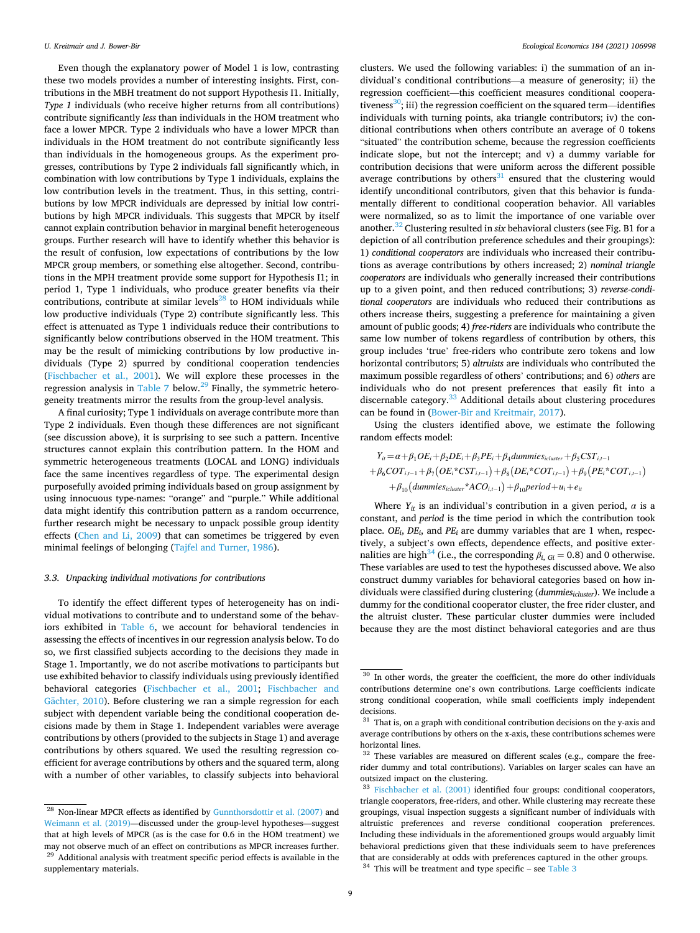Even though the explanatory power of Model 1 is low, contrasting these two models provides a number of interesting insights. First, contributions in the MBH treatment do not support Hypothesis I1. Initially, *Type 1* individuals (who receive higher returns from all contributions) contribute significantly *less* than individuals in the HOM treatment who face a lower MPCR. Type 2 individuals who have a lower MPCR than individuals in the HOM treatment do not contribute significantly less than individuals in the homogeneous groups. As the experiment progresses, contributions by Type 2 individuals fall significantly which, in combination with low contributions by Type 1 individuals, explains the low contribution levels in the treatment. Thus, in this setting, contributions by low MPCR individuals are depressed by initial low contributions by high MPCR individuals. This suggests that MPCR by itself cannot explain contribution behavior in marginal benefit heterogeneous groups. Further research will have to identify whether this behavior is the result of confusion, low expectations of contributions by the low MPCR group members, or something else altogether. Second, contributions in the MPH treatment provide some support for Hypothesis I1; in period 1, Type 1 individuals, who produce greater benefits via their contributions, contribute at similar levels $^{28}$  to HOM individuals while low productive individuals (Type 2) contribute significantly less. This effect is attenuated as Type 1 individuals reduce their contributions to significantly below contributions observed in the HOM treatment. This may be the result of mimicking contributions by low productive individuals (Type 2) spurred by conditional cooperation tendencies ([Fischbacher et al., 2001\)](#page-14-0). We will explore these processes in the regression analysis in [Table 7](#page-9-0) below.<sup>29</sup> Finally, the symmetric heterogeneity treatments mirror the results from the group-level analysis.

A final curiosity; Type 1 individuals on average contribute more than Type 2 individuals. Even though these differences are not significant (see discussion above), it is surprising to see such a pattern. Incentive structures cannot explain this contribution pattern. In the HOM and symmetric heterogeneous treatments (LOCAL and LONG) individuals face the same incentives regardless of type. The experimental design purposefully avoided priming individuals based on group assignment by using innocuous type-names: "orange" and "purple." While additional data might identify this contribution pattern as a random occurrence, further research might be necessary to unpack possible group identity effects [\(Chen and Li, 2009\)](#page-14-0) that can sometimes be triggered by even minimal feelings of belonging [\(Tajfel and Turner, 1986\)](#page-15-0).

### *3.3. Unpacking individual motivations for contributions*

To identify the effect different types of heterogeneity has on individual motivations to contribute and to understand some of the behaviors exhibited in [Table 6,](#page-7-0) we account for behavioral tendencies in assessing the effects of incentives in our regression analysis below. To do so, we first classified subjects according to the decisions they made in Stage 1. Importantly, we do not ascribe motivations to participants but use exhibited behavior to classify individuals using previously identified behavioral categories [\(Fischbacher et al., 2001;](#page-14-0) [Fischbacher and](#page-14-0)  Gächter, 2010). Before clustering we ran a simple regression for each subject with dependent variable being the conditional cooperation decisions made by them in Stage 1. Independent variables were average contributions by others (provided to the subjects in Stage 1) and average contributions by others squared. We used the resulting regression coefficient for average contributions by others and the squared term, along with a number of other variables, to classify subjects into behavioral

clusters. We used the following variables: i) the summation of an individual's conditional contributions—a measure of generosity; ii) the regression coefficient—this coefficient measures conditional cooperativeness<sup>30</sup>; iii) the regression coefficient on the squared term—identifies individuals with turning points, aka triangle contributors; iv) the conditional contributions when others contribute an average of 0 tokens "situated" the contribution scheme, because the regression coefficients indicate slope, but not the intercept; and v) a dummy variable for contribution decisions that were uniform across the different possible average contributions by others $31$  ensured that the clustering would identify unconditional contributors, given that this behavior is fundamentally different to conditional cooperation behavior. All variables were normalized, so as to limit the importance of one variable over another.32 Clustering resulted in *six* behavioral clusters (see Fig. B1 for a depiction of all contribution preference schedules and their groupings): 1) *conditional cooperators* are individuals who increased their contributions as average contributions by others increased; 2) *nominal triangle cooperators* are individuals who generally increased their contributions up to a given point, and then reduced contributions; 3) *reverse-conditional cooperators* are individuals who reduced their contributions as others increase theirs, suggesting a preference for maintaining a given amount of public goods; 4) *free-riders* are individuals who contribute the same low number of tokens regardless of contribution by others, this group includes 'true' free-riders who contribute zero tokens and low horizontal contributors; 5) *altruists* are individuals who contributed the maximum possible regardless of others' contributions; and 6) *others* are individuals who do not present preferences that easily fit into a discernable category. $33$  Additional details about clustering procedures can be found in [\(Bower-Bir and Kreitmair, 2017\)](#page-14-0).

Using the clusters identified above, we estimate the following random effects model:

$$
Y_{ii} = \alpha + \beta_1OE_i + \beta_2DE_i + \beta_3PE_i + \beta_4 \text{dummies}_{\text{icluser}} + \beta_5 \text{CST}_{i,t-1}
$$
  
+  $\beta_6 \text{COT}_{i,t-1} + \beta_7 (\text{OE}_i^* \text{CST}_{i,t-1}) + \beta_8 (\text{DE}_i^* \text{COT}_{i,t-1}) + \beta_9 (\text{PE}_i^* \text{COT}_{i,t-1})$   
+  $\beta_{10} (\text{dummies}_{\text{icluster}}^* \text{ACO}_{i,t-1}) + \beta_{10} \text{period} + u_i + e_{it}$ 

Where  $Y_{it}$  is an individual's contribution in a given period,  $\alpha$  is a constant, and *period* is the time period in which the contribution took place. *OEi*, *DEi*, and *PEi* are dummy variables that are 1 when, respectively, a subject's own effects, dependence effects, and positive externalities are high<sup>34</sup> (i.e., the corresponding  $\beta_{i, Gi} = 0.8$ ) and 0 otherwise. These variables are used to test the hypotheses discussed above. We also construct dummy variables for behavioral categories based on how individuals were classified during clustering (*dummiesicluster*). We include a dummy for the conditional cooperator cluster, the free rider cluster, and the altruist cluster. These particular cluster dummies were included because they are the most distinct behavioral categories and are thus

<sup>&</sup>lt;sup>28</sup> Non-linear MPCR effects as identified by [Gunnthorsdottir et al. \(2007\)](#page-14-0) and [Weimann et al. \(2019\)](#page-15-0)—discussed under the group-level hypotheses—suggest that at high levels of MPCR (as is the case for 0.6 in the HOM treatment) we may not observe much of an effect on contributions as MPCR increases further.  $^\mathrm{29}$  Additional analysis with treatment specific period effects is available in the supplementary materials.

<sup>&</sup>lt;sup>30</sup> In other words, the greater the coefficient, the more do other individuals contributions determine one's own contributions. Large coefficients indicate strong conditional cooperation, while small coefficients imply independent decisions.

 $31$  That is, on a graph with conditional contribution decisions on the y-axis and average contributions by others on the x-axis, these contributions schemes were

horizontal lines.<br> $32$  These variables are measured on different scales (e.g., compare the freerider dummy and total contributions). Variables on larger scales can have an

<sup>&</sup>lt;sup>33</sup> [Fischbacher et al. \(2001\)](#page-14-0) identified four groups: conditional cooperators, triangle cooperators, free-riders, and other. While clustering may recreate these groupings, visual inspection suggests a significant number of individuals with altruistic preferences and reverse conditional cooperation preferences. Including these individuals in the aforementioned groups would arguably limit behavioral predictions given that these individuals seem to have preferences that are considerably at odds with preferences captured in the other groups.  $34$  This will be treatment and type specific – see Table 3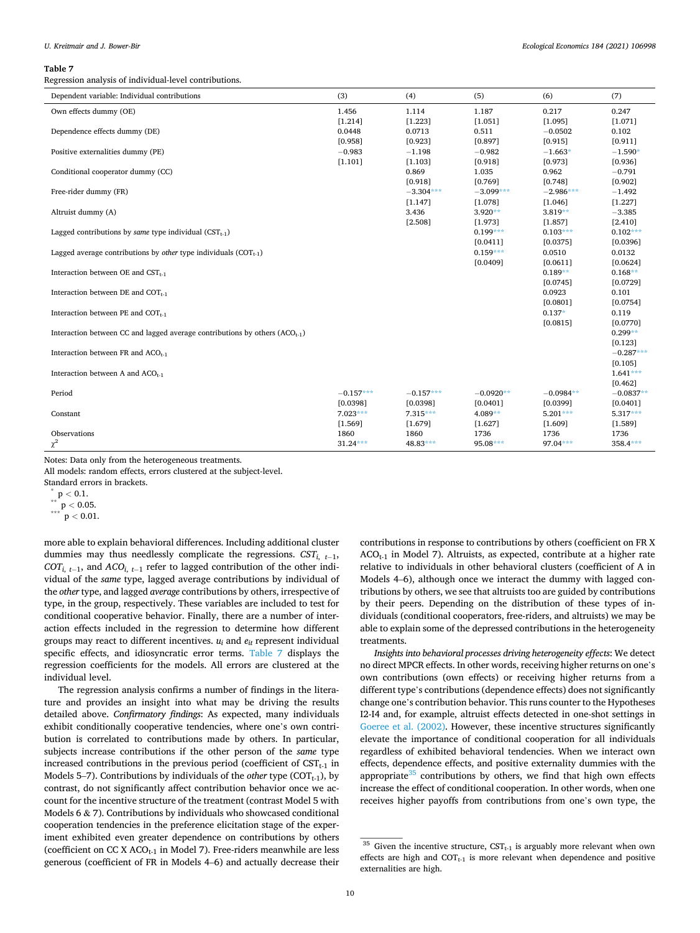#### <span id="page-9-0"></span>**Table 7**

Regression analysis of individual-level contributions.

| Dependent variable: Individual contributions                                    | (3)         | (4)         | (5)         | (6)         | (7)         |
|---------------------------------------------------------------------------------|-------------|-------------|-------------|-------------|-------------|
| Own effects dummy (OE)                                                          | 1.456       | 1.114       | 1.187       | 0.217       | 0.247       |
|                                                                                 | [1.214]     | [1.223]     | [1.051]     | [1.095]     | [1.071]     |
| Dependence effects dummy (DE)                                                   | 0.0448      | 0.0713      | 0.511       | $-0.0502$   | 0.102       |
|                                                                                 | [0.958]     | [0.923]     | [0.897]     | [0.915]     | [0.911]     |
| Positive externalities dummy (PE)                                               | $-0.983$    | $-1.198$    | $-0.982$    | $-1.663*$   | $-1.590*$   |
|                                                                                 | [1.101]     | [1.103]     | [0.918]     | [0.973]     | [0.936]     |
| Conditional cooperator dummy (CC)                                               |             | 0.869       | 1.035       | 0.962       | $-0.791$    |
|                                                                                 |             | [0.918]     | [0.769]     | [0.748]     | [0.902]     |
| Free-rider dummy (FR)                                                           |             | $-3.304***$ | $-3.099***$ | $-2.986***$ | $-1.492$    |
|                                                                                 |             | [1.147]     | [1.078]     | [1.046]     | [1.227]     |
| Altruist dummy (A)                                                              |             | 3.436       | $3.920**$   | $3.819**$   | $-3.385$    |
|                                                                                 |             | [2.508]     | [1.973]     | [1.857]     | [2.410]     |
| Lagged contributions by <i>same</i> type individual $(CST_{t-1})$               |             |             | $0.199***$  | $0.103***$  | $0.102***$  |
|                                                                                 |             |             | [0.0411]    | [0.0375]    | [0.0396]    |
| Lagged average contributions by other type individuals $(COT_{t-1})$            |             |             | $0.159***$  | 0.0510      | 0.0132      |
|                                                                                 |             |             | [0.0409]    | [0.0611]    | [0.0624]    |
| Interaction between OE and $CST_{t-1}$                                          |             |             |             | $0.189**$   | $0.168**$   |
|                                                                                 |             |             |             | [0.0745]    | [0.0729]    |
| Interaction between DE and $COT_{t-1}$                                          |             |             |             | 0.0923      | 0.101       |
|                                                                                 |             |             |             | [0.0801]    | [0.0754]    |
| Interaction between PE and $COT_{t-1}$                                          |             |             |             | $0.137*$    | 0.119       |
|                                                                                 |             |             |             | [0.0815]    | [0.0770]    |
| Interaction between CC and lagged average contributions by others $(ACO_{t-1})$ |             |             |             |             | $0.299**$   |
|                                                                                 |             |             |             |             | [0.123]     |
| Interaction between FR and $ACO_{t-1}$                                          |             |             |             |             | $-0.287***$ |
|                                                                                 |             |             |             |             | [0.105]     |
| Interaction between A and ACO <sub>t-1</sub>                                    |             |             |             |             | $1.641***$  |
|                                                                                 |             |             |             |             | [0.462]     |
| Period                                                                          | $-0.157***$ | $-0.157***$ | $-0.0920**$ | $-0.0984**$ | $-0.0837**$ |
|                                                                                 | [0.0398]    | [0.0398]    | [0.0401]    | [0.0399]    | [0.0401]    |
| Constant                                                                        | $7.023***$  | $7.315***$  | $4.089**$   | $5.201***$  | $5.317***$  |
|                                                                                 | [1.569]     | [1.679]     | [1.627]     | [1.609]     | [1.589]     |
| Observations                                                                    | 1860        | 1860        | 1736        | 1736        | 1736        |
| $\chi^2$                                                                        | $31.24***$  | 48.83***    | 95.08***    | $97.04***$  | $358.4***$  |

Notes: Data only from the heterogeneous treatments.

All models: random effects, errors clustered at the subject-level.

 $\int_{0}^{\pi} p < 0.1.$ <br> $p < 0.05.$ <br> $p < 0.01.$ 

more able to explain behavioral differences. Including additional cluster dummies may thus needlessly complicate the regressions.  $CST_{i, t-1}$ , *COTi*, *t*<sup>−</sup> 1, and *ACOi*, *t*<sup>−</sup> 1 refer to lagged contribution of the other individual of the *same* type, lagged average contributions by individual of the *other* type, and lagged *average* contributions by others, irrespective of type, in the group, respectively. These variables are included to test for conditional cooperative behavior. Finally, there are a number of interaction effects included in the regression to determine how different groups may react to different incentives.  $u_i$  and  $e_{it}$  represent individual specific effects, and idiosyncratic error terms. Table 7 displays the regression coefficients for the models. All errors are clustered at the individual level.

The regression analysis confirms a number of findings in the literature and provides an insight into what may be driving the results detailed above. *Confirmatory findings*: As expected, many individuals exhibit conditionally cooperative tendencies, where one's own contribution is correlated to contributions made by others. In particular, subjects increase contributions if the other person of the *same* type increased contributions in the previous period (coefficient of  $CST<sub>t-1</sub>$  in Models 5–7). Contributions by individuals of the *other* type  $(COT_{t-1})$ , by contrast, do not significantly affect contribution behavior once we account for the incentive structure of the treatment (contrast Model 5 with Models 6 & 7). Contributions by individuals who showcased conditional cooperation tendencies in the preference elicitation stage of the experiment exhibited even greater dependence on contributions by others (coefficient on CC X  $ACO_{t-1}$  in Model 7). Free-riders meanwhile are less generous (coefficient of FR in Models 4–6) and actually decrease their

contributions in response to contributions by others (coefficient on FR X  $ACO_{t-1}$  in Model 7). Altruists, as expected, contribute at a higher rate relative to individuals in other behavioral clusters (coefficient of A in Models 4–6), although once we interact the dummy with lagged contributions by others, we see that altruists too are guided by contributions by their peers. Depending on the distribution of these types of individuals (conditional cooperators, free-riders, and altruists) we may be able to explain some of the depressed contributions in the heterogeneity treatments.

*Insights into behavioral processes driving heterogeneity effects*: We detect no direct MPCR effects. In other words, receiving higher returns on one's own contributions (own effects) or receiving higher returns from a different type's contributions (dependence effects) does not significantly change one's contribution behavior. This runs counter to the Hypotheses I2-I4 and, for example, altruist effects detected in one-shot settings in [Goeree et al. \(2002\).](#page-14-0) However, these incentive structures significantly elevate the importance of conditional cooperation for all individuals regardless of exhibited behavioral tendencies. When we interact own effects, dependence effects, and positive externality dummies with the appropriate $35$  contributions by others, we find that high own effects increase the effect of conditional cooperation. In other words, when one receives higher payoffs from contributions from one's own type, the

 $\overline{35}$  Given the incentive structure, CST<sub>t-1</sub> is arguably more relevant when own effects are high and  $COT<sub>t-1</sub>$  is more relevant when dependence and positive externalities are high.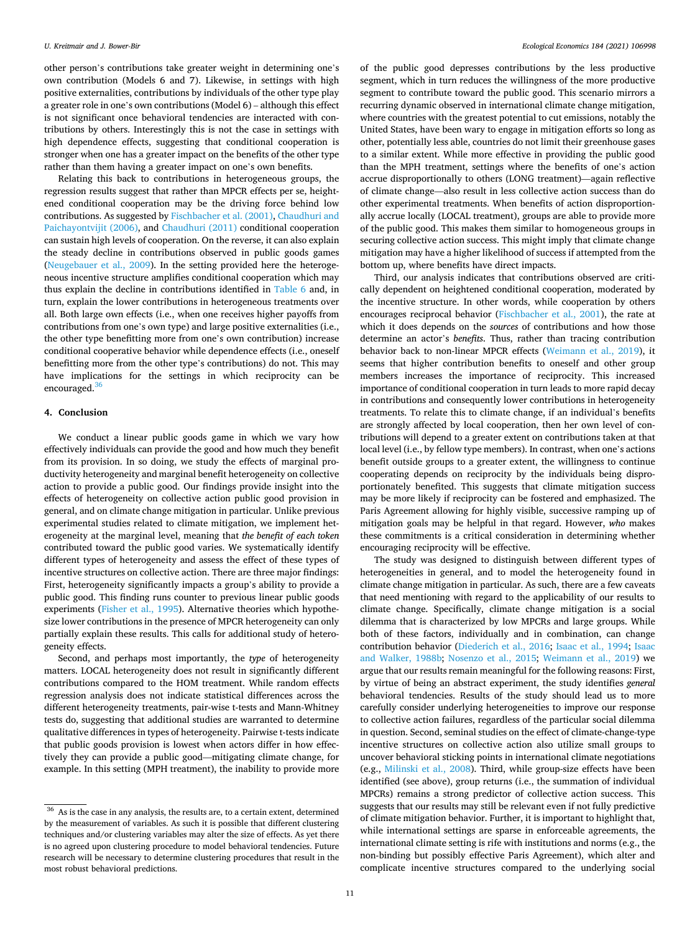other person's contributions take greater weight in determining one's own contribution (Models 6 and 7). Likewise, in settings with high positive externalities, contributions by individuals of the other type play a greater role in one's own contributions (Model 6) – although this effect is not significant once behavioral tendencies are interacted with contributions by others. Interestingly this is not the case in settings with high dependence effects, suggesting that conditional cooperation is stronger when one has a greater impact on the benefits of the other type rather than them having a greater impact on one's own benefits.

Relating this back to contributions in heterogeneous groups, the regression results suggest that rather than MPCR effects per se, heightened conditional cooperation may be the driving force behind low contributions. As suggested by [Fischbacher et al. \(2001\)](#page-14-0), [Chaudhuri and](#page-14-0)  [Paichayontvijit \(2006\)](#page-14-0), and [Chaudhuri \(2011\)](#page-14-0) conditional cooperation can sustain high levels of cooperation. On the reverse, it can also explain the steady decline in contributions observed in public goods games ([Neugebauer et al., 2009\)](#page-15-0). In the setting provided here the heterogeneous incentive structure amplifies conditional cooperation which may thus explain the decline in contributions identified in [Table 6](#page-7-0) and, in turn, explain the lower contributions in heterogeneous treatments over all. Both large own effects (i.e., when one receives higher payoffs from contributions from one's own type) and large positive externalities (i.e., the other type benefitting more from one's own contribution) increase conditional cooperative behavior while dependence effects (i.e., oneself benefitting more from the other type's contributions) do not. This may have implications for the settings in which reciprocity can be encouraged. $36$ 

#### **4. Conclusion**

We conduct a linear public goods game in which we vary how effectively individuals can provide the good and how much they benefit from its provision. In so doing, we study the effects of marginal productivity heterogeneity and marginal benefit heterogeneity on collective action to provide a public good. Our findings provide insight into the effects of heterogeneity on collective action public good provision in general, and on climate change mitigation in particular. Unlike previous experimental studies related to climate mitigation, we implement heterogeneity at the marginal level, meaning that *the benefit of each token*  contributed toward the public good varies. We systematically identify different types of heterogeneity and assess the effect of these types of incentive structures on collective action. There are three major findings: First, heterogeneity significantly impacts a group's ability to provide a public good. This finding runs counter to previous linear public goods experiments [\(Fisher et al., 1995\)](#page-14-0). Alternative theories which hypothesize lower contributions in the presence of MPCR heterogeneity can only partially explain these results. This calls for additional study of heterogeneity effects.

Second, and perhaps most importantly, the *type* of heterogeneity matters. LOCAL heterogeneity does not result in significantly different contributions compared to the HOM treatment. While random effects regression analysis does not indicate statistical differences across the different heterogeneity treatments, pair-wise t-tests and Mann-Whitney tests do, suggesting that additional studies are warranted to determine qualitative differences in types of heterogeneity. Pairwise t-tests indicate that public goods provision is lowest when actors differ in how effectively they can provide a public good—mitigating climate change, for example. In this setting (MPH treatment), the inability to provide more of the public good depresses contributions by the less productive segment, which in turn reduces the willingness of the more productive segment to contribute toward the public good. This scenario mirrors a recurring dynamic observed in international climate change mitigation, where countries with the greatest potential to cut emissions, notably the United States, have been wary to engage in mitigation efforts so long as other, potentially less able, countries do not limit their greenhouse gases to a similar extent. While more effective in providing the public good than the MPH treatment, settings where the benefits of one's action accrue disproportionally to others (LONG treatment)—again reflective of climate change—also result in less collective action success than do other experimental treatments. When benefits of action disproportionally accrue locally (LOCAL treatment), groups are able to provide more of the public good. This makes them similar to homogeneous groups in securing collective action success. This might imply that climate change mitigation may have a higher likelihood of success if attempted from the bottom up, where benefits have direct impacts.

Third, our analysis indicates that contributions observed are critically dependent on heightened conditional cooperation, moderated by the incentive structure. In other words, while cooperation by others encourages reciprocal behavior ([Fischbacher et al., 2001](#page-14-0)), the rate at which it does depends on the *sources* of contributions and how those determine an actor's *benefits*. Thus, rather than tracing contribution behavior back to non-linear MPCR effects ([Weimann et al., 2019\)](#page-15-0), it seems that higher contribution benefits to oneself and other group members increases the importance of reciprocity. This increased importance of conditional cooperation in turn leads to more rapid decay in contributions and consequently lower contributions in heterogeneity treatments. To relate this to climate change, if an individual's benefits are strongly affected by local cooperation, then her own level of contributions will depend to a greater extent on contributions taken at that local level (i.e., by fellow type members). In contrast, when one's actions benefit outside groups to a greater extent, the willingness to continue cooperating depends on reciprocity by the individuals being disproportionately benefited. This suggests that climate mitigation success may be more likely if reciprocity can be fostered and emphasized. The Paris Agreement allowing for highly visible, successive ramping up of mitigation goals may be helpful in that regard. However, *who* makes these commitments is a critical consideration in determining whether encouraging reciprocity will be effective.

The study was designed to distinguish between different types of heterogeneities in general, and to model the heterogeneity found in climate change mitigation in particular. As such, there are a few caveats that need mentioning with regard to the applicability of our results to climate change. Specifically, climate change mitigation is a social dilemma that is characterized by low MPCRs and large groups. While both of these factors, individually and in combination, can change contribution behavior [\(Diederich et al., 2016](#page-14-0); [Isaac et al., 1994;](#page-15-0) [Isaac](#page-15-0)  [and Walker, 1988b](#page-15-0); [Nosenzo et al., 2015;](#page-15-0) [Weimann et al., 2019](#page-15-0)) we argue that our results remain meaningful for the following reasons: First, by virtue of being an abstract experiment, the study identifies *general*  behavioral tendencies. Results of the study should lead us to more carefully consider underlying heterogeneities to improve our response to collective action failures, regardless of the particular social dilemma in question. Second, seminal studies on the effect of climate-change-type incentive structures on collective action also utilize small groups to uncover behavioral sticking points in international climate negotiations (e.g., [Milinski et al., 2008\)](#page-15-0). Third, while group-size effects have been identified (see above), group returns (i.e., the summation of individual MPCRs) remains a strong predictor of collective action success. This suggests that our results may still be relevant even if not fully predictive of climate mitigation behavior. Further, it is important to highlight that, while international settings are sparse in enforceable agreements, the international climate setting is rife with institutions and norms (e.g., the non-binding but possibly effective Paris Agreement), which alter and complicate incentive structures compared to the underlying social

 $36$  As is the case in any analysis, the results are, to a certain extent, determined by the measurement of variables. As such it is possible that different clustering techniques and/or clustering variables may alter the size of effects. As yet there is no agreed upon clustering procedure to model behavioral tendencies. Future research will be necessary to determine clustering procedures that result in the most robust behavioral predictions.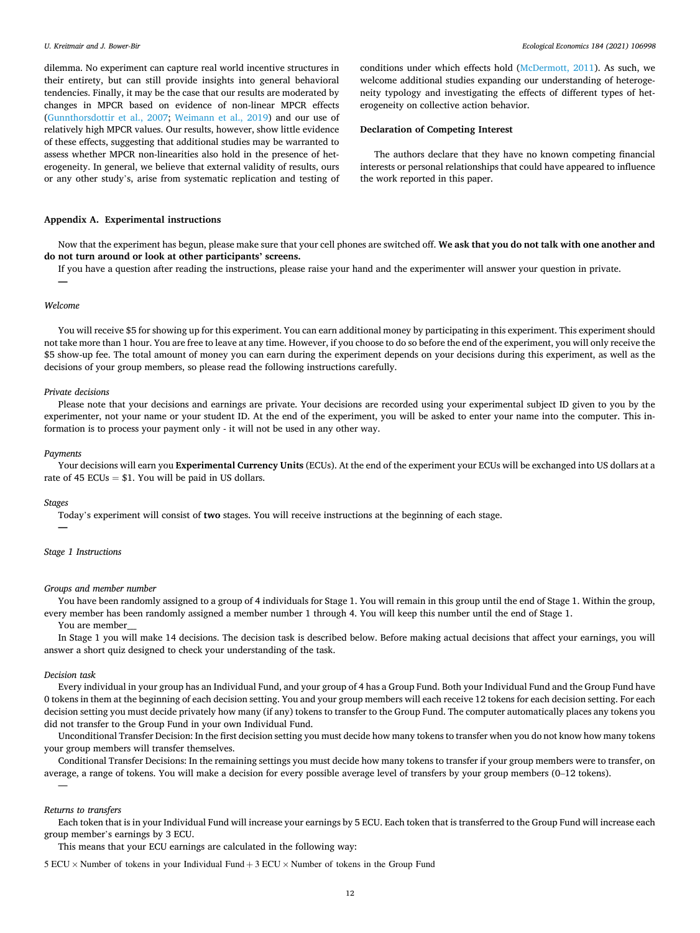dilemma. No experiment can capture real world incentive structures in their entirety, but can still provide insights into general behavioral tendencies. Finally, it may be the case that our results are moderated by changes in MPCR based on evidence of non-linear MPCR effects ([Gunnthorsdottir et al., 2007](#page-14-0); [Weimann et al., 2019](#page-15-0)) and our use of relatively high MPCR values. Our results, however, show little evidence of these effects, suggesting that additional studies may be warranted to assess whether MPCR non-linearities also hold in the presence of heterogeneity. In general, we believe that external validity of results, ours or any other study's, arise from systematic replication and testing of conditions under which effects hold ([McDermott, 2011\)](#page-15-0). As such, we welcome additional studies expanding our understanding of heterogeneity typology and investigating the effects of different types of heterogeneity on collective action behavior.

## **Declaration of Competing Interest**

The authors declare that they have no known competing financial interests or personal relationships that could have appeared to influence the work reported in this paper.

### **Appendix A. Experimental instructions**

Now that the experiment has begun, please make sure that your cell phones are switched off. **We ask that you do not talk with one another and do not turn around or look at other participants' screens.** 

If you have a question after reading the instructions, please raise your hand and the experimenter will answer your question in private.

## *Welcome*

**—** 

You will receive \$5 for showing up for this experiment. You can earn additional money by participating in this experiment. This experiment should not take more than 1 hour. You are free to leave at any time. However, if you choose to do so before the end of the experiment, you will only receive the \$5 show-up fee. The total amount of money you can earn during the experiment depends on your decisions during this experiment, as well as the decisions of your group members, so please read the following instructions carefully.

#### *Private decisions*

Please note that your decisions and earnings are private. Your decisions are recorded using your experimental subject ID given to you by the experimenter, not your name or your student ID. At the end of the experiment, you will be asked to enter your name into the computer. This information is to process your payment only - it will not be used in any other way.

#### *Payments*

Your decisions will earn you **Experimental Currency Units** (ECUs). At the end of the experiment your ECUs will be exchanged into US dollars at a rate of 45 ECUs  $= $1$ . You will be paid in US dollars.

#### *Stages*

**—** 

Today's experiment will consist of **two** stages. You will receive instructions at the beginning of each stage.

#### *Stage 1 Instructions*

#### *Groups and member number*

You have been randomly assigned to a group of 4 individuals for Stage 1. You will remain in this group until the end of Stage 1. Within the group, every member has been randomly assigned a member number 1 through 4. You will keep this number until the end of Stage 1.

You are member\_\_\_

In Stage 1 you will make 14 decisions. The decision task is described below. Before making actual decisions that affect your earnings, you will answer a short quiz designed to check your understanding of the task.

#### *Decision task*

Every individual in your group has an Individual Fund, and your group of 4 has a Group Fund. Both your Individual Fund and the Group Fund have 0 tokens in them at the beginning of each decision setting. You and your group members will each receive 12 tokens for each decision setting. For each decision setting you must decide privately how many (if any) tokens to transfer to the Group Fund. The computer automatically places any tokens you did not transfer to the Group Fund in your own Individual Fund.

Unconditional Transfer Decision: In the first decision setting you must decide how many tokens to transfer when you do not know how many tokens your group members will transfer themselves.

Conditional Transfer Decisions: In the remaining settings you must decide how many tokens to transfer if your group members were to transfer, on average, a range of tokens. You will make a decision for every possible average level of transfers by your group members (0–12 tokens).

#### *Returns to transfers*

—

Each token that is in your Individual Fund will increase your earnings by 5 ECU. Each token that is transferred to the Group Fund will increase each group member's earnings by 3 ECU.

This means that your ECU earnings are calculated in the following way:

 $5 ECU \times$  Number of tokens in your Individual Fund + 3 ECU  $\times$  Number of tokens in the Group Fund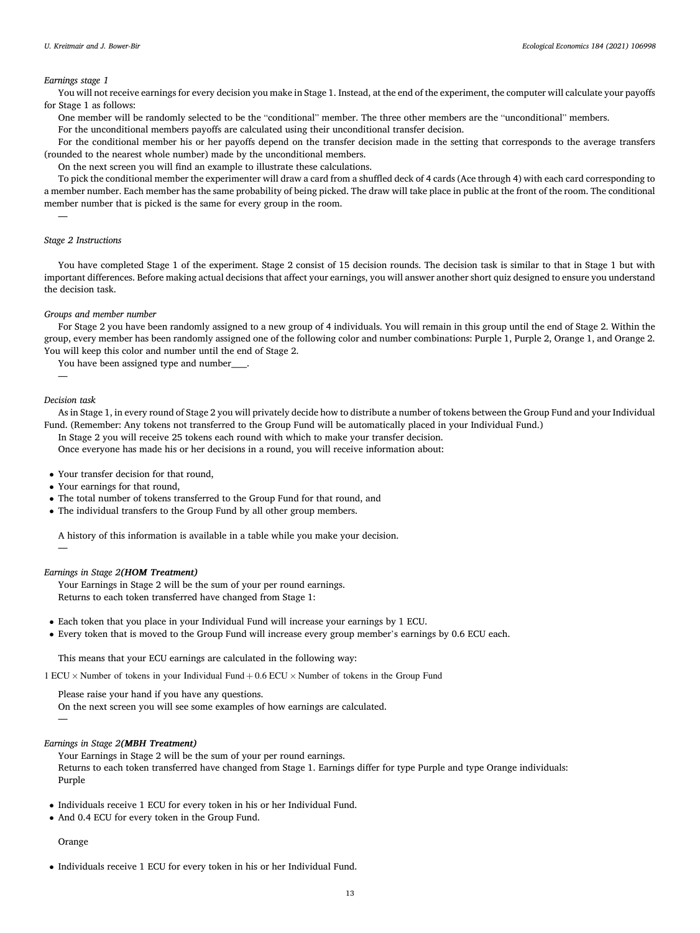### *Earnings stage 1*

You will not receive earnings for every decision you make in Stage 1. Instead, at the end of the experiment, the computer will calculate your payoffs for Stage 1 as follows:

One member will be randomly selected to be the "conditional" member. The three other members are the "unconditional" members. For the unconditional members payoffs are calculated using their unconditional transfer decision.

For the conditional member his or her payoffs depend on the transfer decision made in the setting that corresponds to the average transfers (rounded to the nearest whole number) made by the unconditional members.

On the next screen you will find an example to illustrate these calculations.

To pick the conditional member the experimenter will draw a card from a shuffled deck of 4 cards (Ace through 4) with each card corresponding to a member number. Each member has the same probability of being picked. The draw will take place in public at the front of the room. The conditional member number that is picked is the same for every group in the room.

## *Stage 2 Instructions*

—

You have completed Stage 1 of the experiment. Stage 2 consist of 15 decision rounds. The decision task is similar to that in Stage 1 but with important differences. Before making actual decisions that affect your earnings, you will answer another short quiz designed to ensure you understand the decision task.

#### *Groups and member number*

For Stage 2 you have been randomly assigned to a new group of 4 individuals. You will remain in this group until the end of Stage 2. Within the group, every member has been randomly assigned one of the following color and number combinations: Purple 1, Purple 2, Orange 1, and Orange 2. You will keep this color and number until the end of Stage 2.

You have been assigned type and number\_\_\_\_.

#### *Decision task*

—

—

As in Stage 1, in every round of Stage 2 you will privately decide how to distribute a number of tokens between the Group Fund and your Individual Fund. (Remember: Any tokens not transferred to the Group Fund will be automatically placed in your Individual Fund.)

In Stage 2 you will receive 25 tokens each round with which to make your transfer decision.

Once everyone has made his or her decisions in a round, you will receive information about:

• Your transfer decision for that round,

- Your earnings for that round,
- The total number of tokens transferred to the Group Fund for that round, and
- The individual transfers to the Group Fund by all other group members.

A history of this information is available in a table while you make your decision.

#### *Earnings in Stage 2(HOM Treatment)*

Your Earnings in Stage 2 will be the sum of your per round earnings. Returns to each token transferred have changed from Stage 1:

- Each token that you place in your Individual Fund will increase your earnings by 1 ECU.
- Every token that is moved to the Group Fund will increase every group member's earnings by 0.6 ECU each.

This means that your ECU earnings are calculated in the following way:

1 ECU × Number of tokens in your Individual Fund + 0*.*6 ECU × Number of tokens in the Group Fund

Please raise your hand if you have any questions.

On the next screen you will see some examples of how earnings are calculated.

—

# *Earnings in Stage 2(MBH Treatment)*

Your Earnings in Stage 2 will be the sum of your per round earnings. Returns to each token transferred have changed from Stage 1. Earnings differ for type Purple and type Orange individuals: Purple

- Individuals receive 1 ECU for every token in his or her Individual Fund.
- And 0.4 ECU for every token in the Group Fund.

# Orange

• Individuals receive 1 ECU for every token in his or her Individual Fund.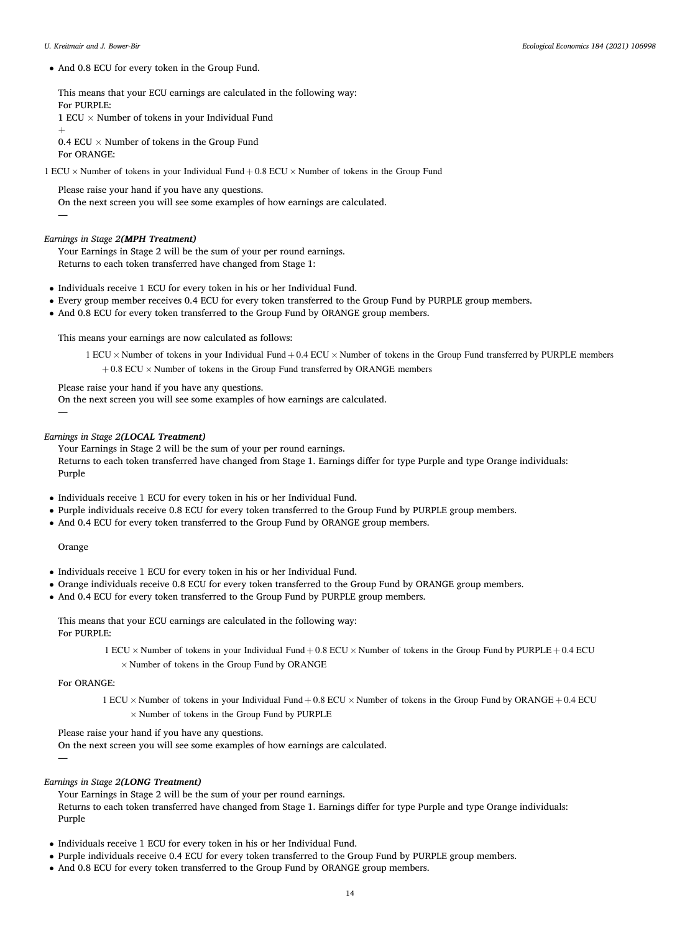• And 0.8 ECU for every token in the Group Fund.

This means that your ECU earnings are calculated in the following way: For PURPLE: 1 ECU  $\times$  Number of tokens in your Individual Fund

+

—

0.4 ECU  $\times$  Number of tokens in the Group Fund For ORANGE:

1 ECU × Number of tokens in your Individual Fund + 0*.*8 ECU × Number of tokens in the Group Fund

Please raise your hand if you have any questions.

On the next screen you will see some examples of how earnings are calculated.

# *Earnings in Stage 2(MPH Treatment)*

Your Earnings in Stage 2 will be the sum of your per round earnings. Returns to each token transferred have changed from Stage 1:

- Individuals receive 1 ECU for every token in his or her Individual Fund.
- Every group member receives 0.4 ECU for every token transferred to the Group Fund by PURPLE group members.
- And 0.8 ECU for every token transferred to the Group Fund by ORANGE group members.

This means your earnings are now calculated as follows:

1 ECU × Number of tokens in your Individual Fund + 0*.*4 ECU × Number of tokens in the Group Fund transferred by PURPLE members  $+ 0.8$  ECU  $\times$  Number of tokens in the Group Fund transferred by ORANGE members

Please raise your hand if you have any questions.

On the next screen you will see some examples of how earnings are calculated.

## *Earnings in Stage 2(LOCAL Treatment)*

Your Earnings in Stage 2 will be the sum of your per round earnings. Returns to each token transferred have changed from Stage 1. Earnings differ for type Purple and type Orange individuals: Purple

- Individuals receive 1 ECU for every token in his or her Individual Fund.
- Purple individuals receive 0.8 ECU for every token transferred to the Group Fund by PURPLE group members.
- And 0.4 ECU for every token transferred to the Group Fund by ORANGE group members.

## Orange

—

- Individuals receive 1 ECU for every token in his or her Individual Fund.
- Orange individuals receive 0.8 ECU for every token transferred to the Group Fund by ORANGE group members.
- And 0.4 ECU for every token transferred to the Group Fund by PURPLE group members.

This means that your ECU earnings are calculated in the following way: For PURPLE:

> 1 ECU × Number of tokens in your Individual Fund + 0*.*8 ECU × Number of tokens in the Group Fund by PURPLE + 0*.*4 ECU  $\times$  Number of tokens in the Group Fund by ORANGE

For ORANGE:

—

1 ECU × Number of tokens in your Individual Fund + 0*.*8 ECU × Number of tokens in the Group Fund by ORANGE + 0*.*4 ECU  $\times$  Number of tokens in the Group Fund by PURPLE

Please raise your hand if you have any questions.

On the next screen you will see some examples of how earnings are calculated.

# *Earnings in Stage 2(LONG Treatment)*

Your Earnings in Stage 2 will be the sum of your per round earnings. Returns to each token transferred have changed from Stage 1. Earnings differ for type Purple and type Orange individuals: Purple

- Individuals receive 1 ECU for every token in his or her Individual Fund.
- Purple individuals receive 0.4 ECU for every token transferred to the Group Fund by PURPLE group members.
- And 0.8 ECU for every token transferred to the Group Fund by ORANGE group members.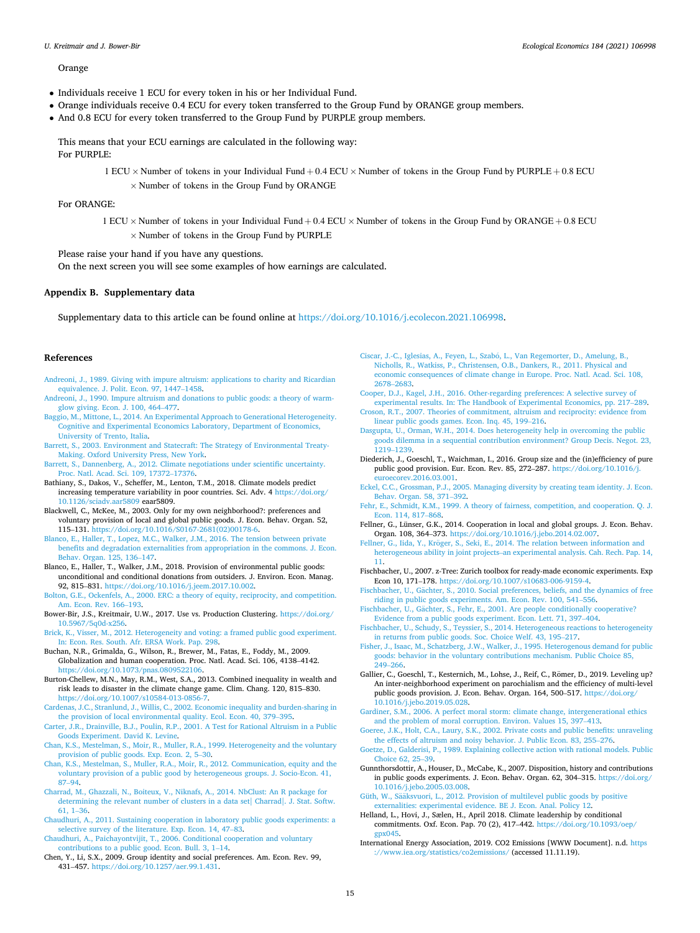## <span id="page-14-0"></span>Orange

- Individuals receive 1 ECU for every token in his or her Individual Fund.
- Orange individuals receive 0.4 ECU for every token transferred to the Group Fund by ORANGE group members.
- And 0.8 ECU for every token transferred to the Group Fund by PURPLE group members.

This means that your ECU earnings are calculated in the following way:

For PURPLE:

1 ECU × Number of tokens in your Individual Fund + 0*.*4 ECU × Number of tokens in the Group Fund by PURPLE + 0*.*8 ECU

 $\times$  Number of tokens in the Group Fund by ORANGE

For ORANGE:

1 ECU × Number of tokens in your Individual Fund + 0*.*4 ECU × Number of tokens in the Group Fund by ORANGE + 0*.*8 ECU  $\times$  Number of tokens in the Group Fund by PURPLE

Please raise your hand if you have any questions.

On the next screen you will see some examples of how earnings are calculated.

## **Appendix B. Supplementary data**

Supplementary data to this article can be found online at [https://doi.org/10.1016/j.ecolecon.2021.106998.](https://doi.org/10.1016/j.ecolecon.2021.106998)

## **References**

- [Andreoni, J., 1989. Giving with impure altruism: applications to charity and Ricardian](http://refhub.elsevier.com/S0921-8009(21)00056-2/rf0005)  [equivalence. J. Polit. Econ. 97, 1447](http://refhub.elsevier.com/S0921-8009(21)00056-2/rf0005)–1458.
- [Andreoni, J., 1990. Impure altruism and donations to public goods: a theory of warm](http://refhub.elsevier.com/S0921-8009(21)00056-2/rf0010)[glow giving. Econ. J. 100, 464](http://refhub.elsevier.com/S0921-8009(21)00056-2/rf0010)–477.
- [Baggio, M., Mittone, L., 2014. An Experimental Approach to Generational Heterogeneity.](http://refhub.elsevier.com/S0921-8009(21)00056-2/rf0015)  [Cognitive and Experimental Economics Laboratory, Department of Economics,](http://refhub.elsevier.com/S0921-8009(21)00056-2/rf0015)  [University of Trento, Italia.](http://refhub.elsevier.com/S0921-8009(21)00056-2/rf0015)
- [Barrett, S., 2003. Environment and Statecraft: The Strategy of Environmental Treaty-](http://refhub.elsevier.com/S0921-8009(21)00056-2/rf0020)[Making. Oxford University Press, New York.](http://refhub.elsevier.com/S0921-8009(21)00056-2/rf0020)
- [Barrett, S., Dannenberg, A., 2012. Climate negotiations under scientific uncertainty.](http://refhub.elsevier.com/S0921-8009(21)00056-2/rf0025) [Proc. Natl. Acad. Sci. 109, 17372](http://refhub.elsevier.com/S0921-8009(21)00056-2/rf0025)–17376.
- Bathiany, S., Dakos, V., Scheffer, M., Lenton, T.M., 2018. Climate models predict increasing temperature variability in poor countries. Sci. Adv. 4 [https://doi.org/](https://doi.org/10.1126/sciadv.aar5809) [10.1126/sciadv.aar5809](https://doi.org/10.1126/sciadv.aar5809) eaar5809.
- Blackwell, C., McKee, M., 2003. Only for my own neighborhood?: preferences and voluntary provision of local and global public goods. J. Econ. Behav. Organ. 52, 115–131. [https://doi.org/10.1016/S0167-2681\(02\)00178-6.](https://doi.org/10.1016/S0167-2681(02)00178-6)
- [Blanco, E., Haller, T., Lopez, M.C., Walker, J.M., 2016. The tension between private](http://refhub.elsevier.com/S0921-8009(21)00056-2/rf0040)  [benefits and degradation externalities from appropriation in the commons. J. Econ.](http://refhub.elsevier.com/S0921-8009(21)00056-2/rf0040)  [Behav. Organ. 125, 136](http://refhub.elsevier.com/S0921-8009(21)00056-2/rf0040)–147.
- Blanco, E., Haller, T., Walker, J.M., 2018. Provision of environmental public goods: unconditional and conditional donations from outsiders. J. Environ. Econ. Manag. 92, 815–831. [https://doi.org/10.1016/j.jeem.2017.10.002.](https://doi.org/10.1016/j.jeem.2017.10.002)
- [Bolton, G.E., Ockenfels, A., 2000. ERC: a theory of equity, reciprocity, and competition.](http://refhub.elsevier.com/S0921-8009(21)00056-2/rf0050)  [Am. Econ. Rev. 166](http://refhub.elsevier.com/S0921-8009(21)00056-2/rf0050)–193.
- Bower-Bir, J.S., Kreitmair, U.W., 2017. Use vs. Production Clustering. [https://doi.org/](https://doi.org/10.5967/5q0d-x256)  [10.5967/5q0d-x256](https://doi.org/10.5967/5q0d-x256).
- [Brick, K., Visser, M., 2012. Heterogeneity and voting: a framed public good experiment.](http://refhub.elsevier.com/S0921-8009(21)00056-2/rf0060)  [In: Econ. Res. South. Afr. ERSA Work. Pap. 298](http://refhub.elsevier.com/S0921-8009(21)00056-2/rf0060).
- Buchan, N.R., Grimalda, G., Wilson, R., Brewer, M., Fatas, E., Foddy, M., 2009. Globalization and human cooperation. Proc. Natl. Acad. Sci. 106, 4138–4142. [https://doi.org/10.1073/pnas.0809522106.](https://doi.org/10.1073/pnas.0809522106)
- Burton-Chellew, M.N., May, R.M., West, S.A., 2013. Combined inequality in wealth and risk leads to disaster in the climate change game. Clim. Chang. 120, 815–830. [https://doi.org/10.1007/s10584-013-0856-7.](https://doi.org/10.1007/s10584-013-0856-7)
- [Cardenas, J.C., Stranlund, J., Willis, C., 2002. Economic inequality and burden-sharing in](http://refhub.elsevier.com/S0921-8009(21)00056-2/rf0075)  [the provision of local environmental quality. Ecol. Econ. 40, 379](http://refhub.elsevier.com/S0921-8009(21)00056-2/rf0075)–395.
- [Carter, J.R., Drainville, B.J., Poulin, R.P., 2001. A Test for Rational Altruism in a Public](http://refhub.elsevier.com/S0921-8009(21)00056-2/rf0080)  [Goods Experiment. David K. Levine.](http://refhub.elsevier.com/S0921-8009(21)00056-2/rf0080)
- [Chan, K.S., Mestelman, S., Moir, R., Muller, R.A., 1999. Heterogeneity and the voluntary](http://refhub.elsevier.com/S0921-8009(21)00056-2/rf0085)  [provision of public goods. Exp. Econ. 2, 5](http://refhub.elsevier.com/S0921-8009(21)00056-2/rf0085)–30.
- [Chan, K.S., Mestelman, S., Muller, R.A., Moir, R., 2012. Communication, equity and the](http://refhub.elsevier.com/S0921-8009(21)00056-2/rf0090)  [voluntary provision of a public good by heterogeneous groups. J. Socio-Econ. 41,](http://refhub.elsevier.com/S0921-8009(21)00056-2/rf0090)  87–[94](http://refhub.elsevier.com/S0921-8009(21)00056-2/rf0090).
- [Charrad, M., Ghazzali, N., Boiteux, V., Niknafs, A., 2014. NbClust: An R package for](http://refhub.elsevier.com/S0921-8009(21)00056-2/rf0095)  [determining the relevant number of clusters in a data set| Charrad|. J. Stat. Softw.](http://refhub.elsevier.com/S0921-8009(21)00056-2/rf0095)  [61, 1](http://refhub.elsevier.com/S0921-8009(21)00056-2/rf0095)–36.
- [Chaudhuri, A., 2011. Sustaining cooperation in laboratory public goods experiments: a](http://refhub.elsevier.com/S0921-8009(21)00056-2/rf0100)  [selective survey of the literature. Exp. Econ. 14, 47](http://refhub.elsevier.com/S0921-8009(21)00056-2/rf0100)–83.
- [Chaudhuri, A., Paichayontvijit, T., 2006. Conditional cooperation and voluntary](http://refhub.elsevier.com/S0921-8009(21)00056-2/rf0105) [contributions to a public good. Econ. Bull. 3, 1](http://refhub.elsevier.com/S0921-8009(21)00056-2/rf0105)–14.
- Chen, Y., Li, S.X., 2009. Group identity and social preferences. Am. Econ. Rev. 99, 431–457. [https://doi.org/10.1257/aer.99.1.431.](https://doi.org/10.1257/aer.99.1.431)
- Ciscar, J.-C., Iglesias, A., Feyen, L., Szabó, L., Van Regemorter, D., Amelung, B., [Nicholls, R., Watkiss, P., Christensen, O.B., Dankers, R., 2011. Physical and](http://refhub.elsevier.com/S0921-8009(21)00056-2/rf0115)  [economic consequences of climate change in Europe. Proc. Natl. Acad. Sci. 108,](http://refhub.elsevier.com/S0921-8009(21)00056-2/rf0115) [2678](http://refhub.elsevier.com/S0921-8009(21)00056-2/rf0115)–2683.
- [Cooper, D.J., Kagel, J.H., 2016. Other-regarding preferences: A selective survey of](http://refhub.elsevier.com/S0921-8009(21)00056-2/rf0120) [experimental results. In: The Handbook of Experimental Economics, pp. 217](http://refhub.elsevier.com/S0921-8009(21)00056-2/rf0120)–289.
- [Croson, R.T., 2007. Theories of commitment, altruism and reciprocity: evidence from](http://refhub.elsevier.com/S0921-8009(21)00056-2/rf0125) [linear public goods games. Econ. Inq. 45, 199](http://refhub.elsevier.com/S0921-8009(21)00056-2/rf0125)–216.
- [Dasgupta, U., Orman, W.H., 2014. Does heterogeneity help in overcoming the public](http://refhub.elsevier.com/S0921-8009(21)00056-2/rf0130) [goods dilemma in a sequential contribution environment? Group Decis. Negot. 23,](http://refhub.elsevier.com/S0921-8009(21)00056-2/rf0130) [1219](http://refhub.elsevier.com/S0921-8009(21)00056-2/rf0130)–1239.
- Diederich, J., Goeschl, T., Waichman, I., 2016. Group size and the (in)efficiency of pure public good provision. Eur. Econ. Rev. 85, 272–287. [https://doi.org/10.1016/j.](https://doi.org/10.1016/j.euroecorev.2016.03.001)  uroecorev.2016.03.001.
- [Eckel, C.C., Grossman, P.J., 2005. Managing diversity by creating team identity. J. Econ.](http://refhub.elsevier.com/S0921-8009(21)00056-2/rf0140)  [Behav. Organ. 58, 371](http://refhub.elsevier.com/S0921-8009(21)00056-2/rf0140)–392.
- [Fehr, E., Schmidt, K.M., 1999. A theory of fairness, competition, and cooperation. Q. J.](http://refhub.elsevier.com/S0921-8009(21)00056-2/rf0145)  [Econ. 114, 817](http://refhub.elsevier.com/S0921-8009(21)00056-2/rf0145)–868.
- Fellner, G., Lünser, G.K., 2014. Cooperation in local and global groups. J. Econ. Behav. Organ. 108, 364–373. <https://doi.org/10.1016/j.jebo.2014.02.007>.
- Fellner, G., Iida, Y., Kröger, S., Seki, E., 2014. The relation between information and heterogeneous ability in joint projects–[an experimental analysis. Cah. Rech. Pap. 14,](http://refhub.elsevier.com/S0921-8009(21)00056-2/rf0155)  [11.](http://refhub.elsevier.com/S0921-8009(21)00056-2/rf0155)
- Fischbacher, U., 2007. z-Tree: Zurich toolbox for ready-made economic experiments. Exp Econ 10, 171–178. <https://doi.org/10.1007/s10683-006-9159-4>.
- Fischbacher, U., Gächter, S., 2010. Social preferences, beliefs, and the dynamics of free [riding in public goods experiments. Am. Econ. Rev. 100, 541](http://refhub.elsevier.com/S0921-8009(21)00056-2/rf0160)–556.
- Fischbacher, U., Gächter, S., Fehr, E., 2001. Are people conditionally cooperative? [Evidence from a public goods experiment. Econ. Lett. 71, 397](http://refhub.elsevier.com/S0921-8009(21)00056-2/rf0165)–404.
- [Fischbacher, U., Schudy, S., Teyssier, S., 2014. Heterogeneous reactions to heterogeneity](http://refhub.elsevier.com/S0921-8009(21)00056-2/rf0170)  [in returns from public goods. Soc. Choice Welf. 43, 195](http://refhub.elsevier.com/S0921-8009(21)00056-2/rf0170)–217.
- [Fisher, J., Isaac, M., Schatzberg, J.W., Walker, J., 1995. Heterogenous demand for public](http://refhub.elsevier.com/S0921-8009(21)00056-2/rf0175)  [goods: behavior in the voluntary contributions mechanism. Public Choice 85,](http://refhub.elsevier.com/S0921-8009(21)00056-2/rf0175) 249–[266](http://refhub.elsevier.com/S0921-8009(21)00056-2/rf0175).
- Gallier, C., Goeschl, T., Kesternich, M., Lohse, J., Reif, C., Römer, D., 2019. Leveling up? An inter-neighborhood experiment on parochialism and the efficiency of multi-level public goods provision. J. Econ. Behav. Organ. 164, 500–517. [https://doi.org/](https://doi.org/10.1016/j.jebo.2019.05.028)  [10.1016/j.jebo.2019.05.028](https://doi.org/10.1016/j.jebo.2019.05.028).
- [Gardiner, S.M., 2006. A perfect moral storm: climate change, intergenerational ethics](http://refhub.elsevier.com/S0921-8009(21)00056-2/rf0185)  [and the problem of moral corruption. Environ. Values 15, 397](http://refhub.elsevier.com/S0921-8009(21)00056-2/rf0185)–413.
- [Goeree, J.K., Holt, C.A., Laury, S.K., 2002. Private costs and public benefits: unraveling](http://refhub.elsevier.com/S0921-8009(21)00056-2/rf0190)  [the effects of altruism and noisy behavior. J. Public Econ. 83, 255](http://refhub.elsevier.com/S0921-8009(21)00056-2/rf0190)–276.
- [Goetze, D., Galderisi, P., 1989. Explaining collective action with rational models. Public](http://refhub.elsevier.com/S0921-8009(21)00056-2/rf0195)  [Choice 62, 25](http://refhub.elsevier.com/S0921-8009(21)00056-2/rf0195)–39.
- Gunnthorsdottir, A., Houser, D., McCabe, K., 2007. Disposition, history and contributions in public goods experiments. J. Econ. Behav. Organ. 62, 304–315. [https://doi.org/](https://doi.org/10.1016/j.jebo.2005.03.008)  [10.1016/j.jebo.2005.03.008](https://doi.org/10.1016/j.jebo.2005.03.008).
- Güth, W., Sääksvuori, L., 2012. Provision of multilevel public goods by positive [externalities: experimental evidence. BE J. Econ. Anal. Policy 12.](http://refhub.elsevier.com/S0921-8009(21)00056-2/rf0205)

Helland, L., Hovi, J., Sælen, H., April 2018. Climate leadership by conditional commitments. Oxf. Econ. Pap. 70 (2), 417–442. [https://doi.org/10.1093/oep/](https://doi.org/10.1093/oep/gpx045)  $gpx045$ 

International Energy Association, 2019. CO2 Emissions [WWW Document]. n.d. [https](https://www.iea.org/statistics/co2emissions/)  [://www.iea.org/statistics/co2emissions/](https://www.iea.org/statistics/co2emissions/) (accessed 11.11.19).